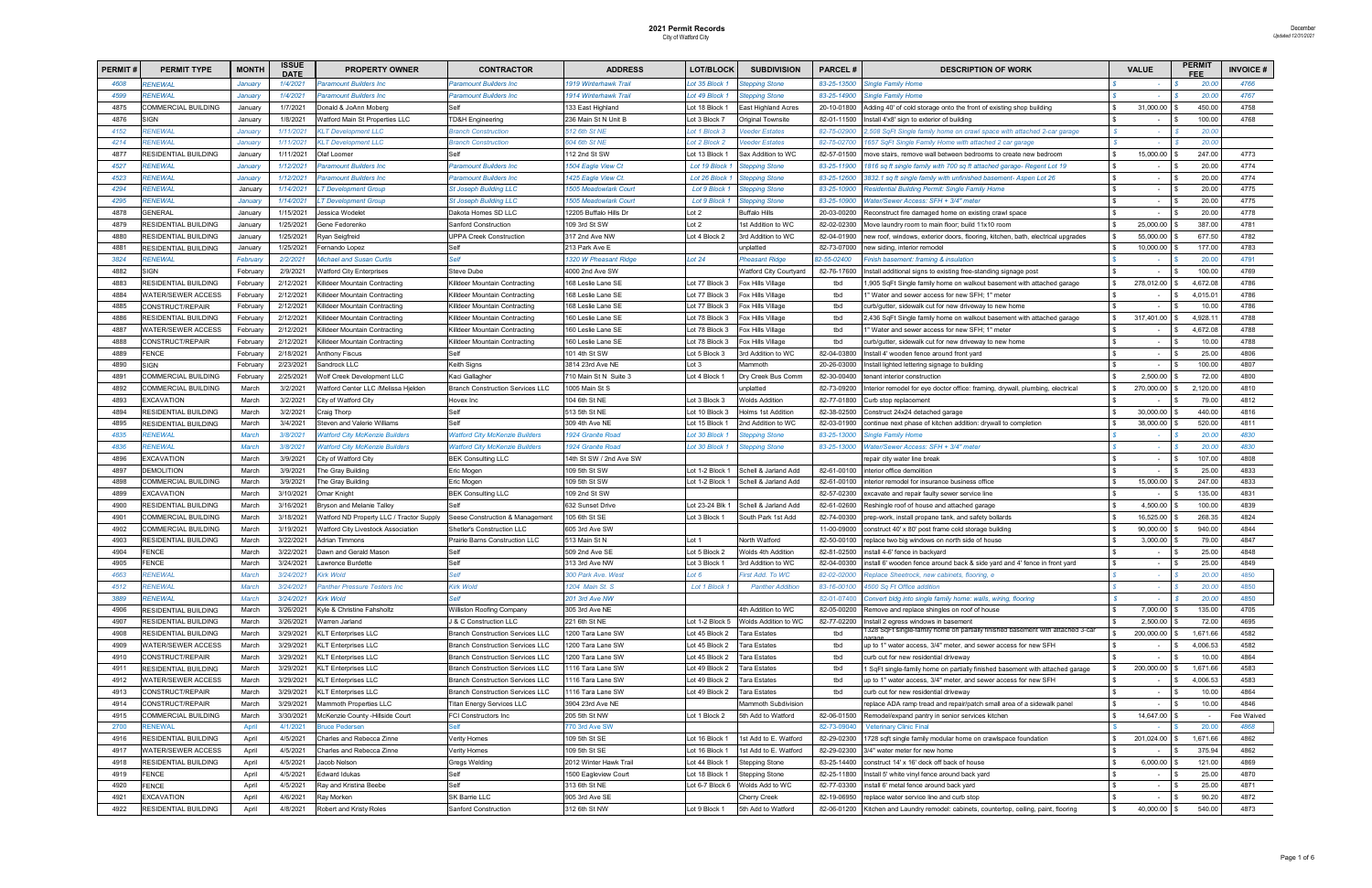| <b>PERMIT#</b> | <b>PERMIT TYPE</b>               | <b>MONTH</b> | <b>ISSUE</b><br><b>DATE</b> | <b>PROPERTY OWNER</b>                    | <b>CONTRACTOR</b>                       | <b>ADDRESS</b>               | <b>LOT/BLOCK</b>           | <b>SUBDIVISION</b>         | <b>PARCEL#</b> | <b>DESCRIPTION OF WORK</b>                                                                                                | <b>VALUE</b>                     | <b>PERMI</b> | <b>INVOICE#</b> |
|----------------|----------------------------------|--------------|-----------------------------|------------------------------------------|-----------------------------------------|------------------------------|----------------------------|----------------------------|----------------|---------------------------------------------------------------------------------------------------------------------------|----------------------------------|--------------|-----------------|
| 4608           | <b>RENEWAL</b>                   | January      | 1/4/2021                    | <b>Paramount Builders Inc.</b>           | Paramount Builders Inc                  | 1919 Winterhawk Trail        | ot 35 Block:               | epping Stone               | 83-25-13500    | <b>Single Family Home</b>                                                                                                 |                                  | 20.00        | 4766            |
| 4599           | <b>RENEWAL</b>                   | January      | 1/4/2021                    | <b>Paramount Builders Inc</b>            | Paramount Builders Inc                  | 1914 Winterhawk Trail        | ot 49 Block                | tepping Stone              | 83-25-14900    | Single Family Home                                                                                                        |                                  | 20.00        | 4767            |
| 4875           | COMMERCIAL BUILDING              | January      | 1/7/2021                    | Donald & JoAnn Moberg                    |                                         | 133 East Highland            | Lot 18 Block '             | <b>East Highland Acres</b> | 20-10-01800    | Adding 40' of cold storage onto the front of existing shop building                                                       | 31,000.00                        | 450.00       | 4758            |
| 4876           | <b>SIGN</b>                      | January      | 1/8/2021                    | <b>Natford Main St Properties LLC</b>    | <b>D&amp;H Engineering</b>              | 236 Main St N Unit B         | Lot 3 Block 7              | Original Townsite          | 82-01-11500    | Install 4'x8' sign to exterior of building                                                                                | $\sim$                           | 100.00       | 4768            |
| 4152           | <b>ENEWAL</b>                    | January      | 1/11/2021                   | <b>KLT Development LLC</b>               | <b>Branch Construction</b>              | 512 6th St NE                | ot 1 Block 3               | 'eeder Estates             | 82-75-02900    | 2,508 SqFt Single family home on crawl space with attached 2-car garage                                                   | $\sim$                           | 20.00        |                 |
| 4214           | <b>RENEWAL</b>                   | January      | 1/11/2021                   | <b>KLT Development LLC</b>               | <b>Branch Construction</b>              | 604 6th St NE                | ot 2 Block 2               | eeder Estates              | 82-75-02700    | 1657 SqFt Single Family Home with attached 2 car garage                                                                   |                                  | 20.00        |                 |
| 4877           | RESIDENTIAL BUILDING             | January      | 1/11/2021                   | Olaf Loomer                              |                                         | 112 2nd St SW                | Lot 13 Block               | Sax Addition to WC         | 82-57-01500    | move stairs, remove wall between bedrooms to create new bedroom                                                           | 15,000.00                        | 247.00       | 4773            |
| 4527           | RENEWAL                          | January      | 1/12/2021                   | Paramount Builders Inc                   | Paramount Builders Inc                  | 1504 Eagle View Ct           | Lot 19 Block               | tepping Stone              | 83-25-11900    | 1816 sq ft single family with 700 sq ft attached garage- Regent Lot 19                                                    | l \$<br>$\sim$                   | 20.00        | 4774            |
| 4523           | <b>RENEWAL</b>                   | January      | 1/12/2021                   | <b>Paramount Builders Inc</b>            | Paramount Builders Inc                  | 1425 Eagle View Ct.          | Lot 26 Block               | tepping Stone              | 83-25-12600    | 3832.1 sq ft single family with unfinished basement- Aspen Lot 26                                                         | l S<br>$\sim$                    | 20.00        | 4774            |
| 4294           | RENEWAL                          | January      | 1/14/2021                   | T Development Group                      | <b>St Joseph Building LLC</b>           | <b>1505 Meadowlark Court</b> | Lot 9 Block                | tepping Stone              | 83-25-10900    | Residential Building Permit: Single Family Home                                                                           | $\sim$                           | 20.00        | 4775            |
| 4295           | RENEWAL                          | January      | 1/14/2021                   | <b>T</b> Development Group               | <b>St Joseph Building LLC</b>           | <b>1505 Meadowlark Court</b> | Lot 9 Block                | <b>Stepping Stone</b>      | 83-25-10900    | Water/Sewer Access: SFH + 3/4" meter                                                                                      | $\sim$                           | 20.00        | 4775            |
| 4878           | GENERAL                          | January      | 1/15/2021                   | Jessica Wodele                           | )akota Homes SD LLC                     | 12205 Buffalo Hills Dr       | Lot 2                      | <b>Buffalo Hills</b>       | 20-03-00200    | Reconstruct fire damaged home on existing crawl space                                                                     | $\overline{\phantom{a}}$         | 20.00        | 4778            |
| 4879           | RESIDENTIAL BUILDING             | January      | 1/25/2021                   | Gene Fedorenko                           | Sanford Construction                    | 109 3rd St SW                | ot 2                       | Ist Addition to WC         | 82-02-02300    | Move laundry room to main floor; build 11x10 room                                                                         | 25,000.00                        | 387.00       | 4781            |
| 4880           | RESIDENTIAL BUILDING             | January      | 1/25/2021                   | Ryan Seigfreid                           | JPPA Creek Construction                 | 317 2nd Ave NW               | Lot 4 Block 2              | 3rd Addition to WC         | 82-04-01900    | new roof, windows, exterior doors, flooring, kitchen, bath, electrical upgrades                                           | 55,000.00                        | 677.50       | 4782            |
| 4881           | RESIDENTIAL BUILDING             | January      | 1/25/2021                   | Fernando Lopez                           | Self                                    | 213 Park Ave E               |                            | unplatted                  | 82-73-07000    | new siding, interior remodel                                                                                              | 10,000.00                        | 177.00       | 4783            |
| 3824           | RENEWAL                          | February     | 2/2/2021                    | <b>Michael and Susan Curtis</b>          | elf.                                    | 1320 W Pheasant Ridge        | Lot 24                     | <b>Pheasant Ridge</b>      | 32-55-02400    | Finish basement: framing & insulation                                                                                     |                                  | 20.00        | 4791            |
| 4882           | <b>IGN</b>                       | February     | 2/9/2021                    | Vatford City Enterprises                 | Steve Dube                              | 4000 2nd Ave SW              |                            | Watford City Courtyard     | 82-76-17600    | Install additional signs to existing free-standing signage post                                                           |                                  | 100.00       | 4769            |
| 4883           | RESIDENTIAL BUILDING             | February     | 2/12/2021                   | <b>Killdeer Mountain Contracting</b>     | Killdeer Mountain Contracting           | 168 Leslie Lane SE           | Lot 77 Block 3             | Fox Hills Village          | tbd            | 1,905 SqFt Single family home on walkout basement with attached garage                                                    | 278,012.00                       | 4,672.08     | 4786            |
| 4884           | WATER/SEWER ACCESS               | February     | 2/12/2021                   | Killdeer Mountain Contracting            | Killdeer Mountain Contracting           | 168 Leslie Lane SE           | Lot 77 Block 3             | Fox Hills Village          | tbd            | 1" Water and sewer access for new SFH; 1" meter                                                                           | $\overline{\phantom{a}}$         | 4,015.01     | 4786            |
| 4885           | CONSTRUCT/REPAIR                 | February     | 2/12/2021                   | Killdeer Mountain Contracting            | Killdeer Mountain Contracting           | 168 Leslie Lane SE           | Lot 77 Block 3             | Fox Hills Village          | tbd            | curb/gutter, sidewalk cut for new driveway to new home                                                                    |                                  | 10.00        | 4786            |
| 4886           | RESIDENTIAL BUILDING             | February     | 2/12/2021                   | Killdeer Mountain Contracting            |                                         | 160 Leslie Lane SE           | Lot 78 Block 3             | Fox Hills Village          | tbd            |                                                                                                                           | 317,401.00                       | 4,928.11     | 4788            |
| 4887           | WATER/SEWER ACCESS               | February     | 2/12/2021                   | Killdeer Mountain Contracting            | Killdeer Mountain Contracting           | 160 Leslie Lane SE           | Lot 78 Block 3             |                            | tbd            | 2,436 SqFt Single family home on walkout basement with attached garage<br>1" Water and sewer access for new SFH: 1" meter | $\sim$                           | 4,672.08     | 4788            |
| 4888           |                                  | February     | 2/12/2021                   | Killdeer Mountain Contracting            | Killdeer Mountain Contracting           | 160 Leslie Lane SE           | Lot 78 Block 3             | Fox Hills Village          | tbd            | curb/gutter, sidewalk cut for new driveway to new home                                                                    | l \$                             | 10.00        | 4788            |
|                | CONSTRUCT/REPAIR<br><b>FENCE</b> |              |                             |                                          | Killdeer Mountain Contracting<br>Self   |                              |                            | Fox Hills Village          |                |                                                                                                                           | $\overline{\phantom{a}}$<br>l \$ | 25.00        |                 |
| 4889           |                                  | February     | 2/18/2021                   | Anthony Fiscus                           |                                         | 101 4th St SW                | Lot 5 Block 3              | 3rd Addition to WC         | 82-04-03800    | Install 4' wooden fence around front yard                                                                                 | $\overline{\phantom{a}}$         |              | 4806            |
| 4890           | <b>SIGN</b>                      | February     | 2/23/2021                   | Sandrock LLC                             | Keith Signs                             | 3814 23rd Ave NE             | $\cot 3$                   | Mammoth                    | 20-26-03000    | Install lighted lettering signage to building                                                                             | $\overline{\phantom{a}}$         | 100.00       | 4807            |
| 4891           | COMMERCIAL BUILDING              | February     | 2/25/2021                   | <b>Nolf Creek Development LLC</b>        | Kaci Gallagher                          | 710 Main St N Suite 3        | ot 4 Block 1               | Dry Creek Bus Comm         | 82-30-00400    | tenant interior construction                                                                                              | 2,500.00                         | 72.00        | 4800            |
| 4892           | COMMERCIAL BUILDING              | March        | 3/2/2021                    | Vatford Center LLC /Melissa Hjelder      | <b>Branch Construction Services LLC</b> | 1005 Main St S               |                            | unplatted                  | 82-73-09200    | Interior remodel for eye doctor office: framing, drywall, plumbing, electrical                                            | 270,000.00                       | 2,120.00     | 4810            |
| 4893           | EXCAVATION                       | March        | 3/2/2021                    | City of Watford City                     | Hovex Inc                               | 104 6th St NE                | Lot 3 Block 3              | <b>Wolds Addition</b>      | 82-77-01800    | Curb stop replacement                                                                                                     | $\overline{\phantom{a}}$         | 79.00        | 4812            |
| 4894           | RESIDENTIAL BUILDING             | March        | 3/2/2021                    | Craig Thorp                              | Self                                    | 513 5th St NE                | Lot 10 Block 3             | Holms 1st Additior         | 82-38-02500    | Construct 24x24 detached garage                                                                                           | 30,000.00                        | 440.00       | 4816            |
| 4895           | RESIDENTIAL BUILDING             | March        | 3/4/2021                    | Steven and Valerie Williams              | Self                                    | 309 4th Ave NE               | Lot 15 Block               | 2nd Addition to WC         | 82-03-01900    | continue next phase of kitchen addition: drywall to completion                                                            | 38,000.00                        | 520.00       | 4811            |
| 4835           | <b>RENEWAL</b>                   | <b>March</b> | 3/8/2021                    | <b>Atford City McKenzie Builders</b>     | <b>Vatford City McKenzie Builders</b>   | 1924 Granite Road            | ot 30 Block                | epping Stone               | 83-25-13000    | Single Family Home                                                                                                        |                                  | 20.00        | 4830            |
| 4836           | <b>RENEWAL</b>                   | March        | 3/8/2021                    | Vatford City McKenzie Builders           | Vatford City McKenzie Builders          | 1924 Granite Road            | Lot 30 Block:              | epping Stone               | 83-25-13000    | Water/Sewer Access: SFH + 3/4" meter                                                                                      | $\sim$                           | 20.00        | 4830            |
| 4896           | EXCAVATION                       | March        | 3/9/2021                    | City of Watford City                     | <b>BEK Consulting LLC</b>               | 14th St SW / 2nd Ave SW      |                            |                            |                | repair city water line break                                                                                              | $\sim$                           | 107.00       | 4808            |
| 4897           | DEMOLITION                       | March        | 3/9/2021                    | The Gray Building                        | Eric Mogen                              | 109 5th St SW                | Lot 1-2 Block <sup>.</sup> | Schell & Jarland Add       | 82-61-00100    | interior office demolition                                                                                                | $\sim$                           | 25.00        | 4833            |
| 4898           | COMMERCIAL BUILDING              | March        | 3/9/2021                    | The Gray Building                        | Eric Mogen                              | 109 5th St SW                | Lot 1-2 Block              | Schell & Jarland Add       | 82-61-00100    | interior remodel for insurance business office                                                                            | 15,000.00<br>l \$                | 247.00       | 4833            |
| 4899           | EXCAVATION                       | March        | 3/10/2021                   | Omar Knight                              | <b>BEK Consulting LLC</b>               | 109 2nd St SW                |                            |                            | 82-57-02300    | excavate and repair faulty sewer service line                                                                             | $\sim$                           | 135.00       | 4831            |
| 4900           | RESIDENTIAL BUILDING             | March        | 3/16/2021                   | Bryson and Melanie Talley                |                                         | 632 Sunset Drive             | Lot 23-24 Blk              | Schell & Jarland Add       | 82-61-02600    | Reshingle roof of house and attached garage                                                                               | 4,500.00                         | 100.00       | 4839            |
| 4901           | COMMERCIAL BUILDING              | March        | 3/18/2021                   | Vatford ND Property LLC / Tractor Supply | Seese Construction & Management         | 105 6th St SE                | Lot 3 Block 1              | South Park 1st Add         | 82-74-00300    | prep-work, install propane tank, and safety bollards                                                                      | 16,525.00                        | 268.35       | 4824            |
| 4902           | COMMERCIAL BUILDING              | March        | 3/19/2021                   | Vatford City Livestock Association       | <b>Shetler's Construction LLC</b>       | 605 3rd Ave SW               |                            |                            | 11-00-09000    | construct 40' x 80' post frame cold storage building                                                                      | 90,000.00                        | 940.00       | 4844            |
| 4903           | <b>RESIDENTIAL BUILDING</b>      | March        | 3/22/2021                   | <b>Adrian Timmons</b>                    | rairie Barns Construction LLC           | 513 Main St N                | ot 1                       | North Watford              | 82-50-00100    | replace two big windows on north side of house                                                                            | 3,000.00                         | 79.00        | 4847            |
| 4904           | <b>FENCE</b>                     | March        | 3/22/2021                   | Dawn and Gerald Mason                    |                                         | 509 2nd Ave SE               | Lot 5 Block 2              | Wolds 4th Addition         | 82-81-02500    | install 4-6' fence in backyard                                                                                            |                                  | 25.00        | 4848            |
| 4905           | FENCE                            | March        | 3/24/2021                   | Lawrence Burdette                        |                                         | 313 3rd Ave NW               | Lot 3 Block 1              | 3rd Addition to WC         | 82-04-00300    | install 6' wooden fence around back & side yard and 4' fence in front yard                                                | l S<br>$\sim$                    | 25.00        | 4849            |
| 4663           | <b>RENEWAL</b>                   | March        | 3/24/2021                   | <b>Kirk Wold</b>                         | elf                                     | 300 Park Ave. West           | $\cot 6$                   | irst Add. To WC            | 82-02-02000    | Replace Sheetrock, new cabinets, flooring, e                                                                              | $\sim$                           | 20.00        | 4850            |
| 4512           | <b>RENEWAL</b>                   | March        | 3/24/2021                   | Panther Pressure Testers Inc             | <b><i><u>Sirk Wold</u></i></b>          | 1204 Main St. S              | Lot 1 Block 1              | <b>Panther Addition</b>    | 83-16-00100    | 4500 Sq Ft Office addition                                                                                                |                                  | 20.00        | 4850            |
| 3889           | <b>RENEWAL</b>                   | March        | 3/24/2021                   | <b>Kirk Wold</b>                         | elf                                     | 201 3rd Ave NW               |                            |                            | 82-01-07400    | Convert bldg into single family home: walls, wiring, flooring                                                             | $\sim$                           | 20.00        | 4850            |
| 4906           | RESIDENTIAL BUILDING             | March        | 3/26/2021                   | Kyle & Christine Fahsholtz               | <b>Williston Roofing Company</b>        | 305 3rd Ave NE               |                            | 4th Addition to WC         | 82-05-00200    | Remove and replace shingles on roof of house                                                                              | 7,000.00                         | 135.00       | 4705            |
| 4907           | RESIDENTIAL BUILDING             | March        | 3/26/2021                   | Warren Jarland                           | J & C Construction LLC                  | 221 6th St NE                | Lot 1-2 Block 5            | Wolds Addition to WC       | 82-77-02200    | Install 2 egress windows in basement                                                                                      | 2,500.00                         | 72.00        | 4695            |
| 4908           | RESIDENTIAL BUILDING             | March        | 3/29/2021                   | <b>KLT Enterprises LLC</b>               | <b>Branch Construction Services LLC</b> | 1200 Tara Lane SW            | Lot 45 Block 2             | Tara Estates               | tbd            | 1328 SqFt single-family home on partially finished basement with attached 3-car                                           | 200,000.00                       | 1,671.66     | 4582            |
| 4909           | WATER/SEWER ACCESS               | March        | 3/29/2021                   | <b>KLT Enterprises LLC</b>               | <b>Branch Construction Services LLC</b> | 1200 Tara Lane SW            | Lot 45 Block 2             | Tara Estates               | tbd            | up to 1" water access, 3/4" meter, and sewer access for new SFH                                                           | l \$<br>$\sim$                   | 4,006.53     | 4582            |
| 4910           | CONSTRUCT/REPAIR                 | March        | 3/29/2021                   | <b>KLT Enterprises LLC</b>               | <b>Branch Construction Services LLC</b> | 1200 Tara Lane SW            | Lot 45 Block 2             | Tara Estates               | tbd            | curb cut for new residential driveway                                                                                     | $\overline{\phantom{a}}$         | 10.00        | 4864            |
| 4911           | RESIDENTIAL BUILDING             | March        | 3/29/2021                   | <b>KLT Enterprises LLC</b>               | <b>Branch Construction Services LLC</b> | 1116 Tara Lane SW            | Lot 49 Block 2             | Tara Estates               | tbd            | 1 SqFt single-family home on partially finished basement with attached garage                                             | 200,000.00                       | 1,671.66     | 4583            |
| 4912           | WATER/SEWER ACCESS               | March        | 3/29/2021                   | <b>KLT Enterprises LLC</b>               | <b>Branch Construction Services LLC</b> | 1116 Tara Lane SW            | Lot 49 Block 2             | Tara Estates               | tbd            | up to 1" water access, 3/4" meter, and sewer access for new SFH                                                           | $\sim$                           | 4,006.53     | 4583            |
| 4913           | CONSTRUCT/REPAIR                 | March        | 3/29/2021                   | <b>KLT Enterprises LLC</b>               | <b>Branch Construction Services LLC</b> | 1116 Tara Lane SW            | Lot 49 Block 2             | Tara Estates               | tbd            | curb cut for new residential driveway                                                                                     | $\sim$                           | 10.00        | 4864            |
| 4914           | CONSTRUCT/REPAIR                 | March        | 3/29/2021                   | Mammoth Properties LLC                   | <b>Titan Energy Services LLC</b>        | 3904 23rd Ave NE             |                            | Mammoth Subdivision        |                | replace ADA ramp tread and repair/patch small area of a sidewalk panel                                                    | l \$<br>$\sim$                   | 10.00        | 4846            |
| 4915           | COMMERCIAL BUILDING              | March        | 3/30/2021                   | McKenzie County - Hillside Court         | FCI Constructors Inc                    | 205 5th St NW                | Lot 1 Block 2              | 5th Add to Watford         | 82-06-01500    | Remodel/expand pantry in senior services kitchen                                                                          | 14,647.00 \$<br>l \$             |              | Fee Waived      |
| 2700           | RENEWAL                          | April        | 4/1/2021                    | <b>Bruce Pedersen</b>                    | elf                                     | 770 3rd Ave SW               |                            |                            | 82-73-09040    | <b>Veterinary Clinic Final</b>                                                                                            |                                  | 20.00        | 4868            |
| 4916           | RESIDENTIAL BUILDING             | April        | 4/5/2021                    | Charles and Rebecca Zinne                | /erity Homes                            | 109 5th St SE                | Lot 16 Block 1             | 1st Add to E. Watford      | 82-29-02300    | 1728 sqft single family modular home on crawlspace foundation                                                             | 201,024.00                       | 1,671.66     | 4862            |
| 4917           | WATER/SEWER ACCESS               | April        | 4/5/2021                    | Charles and Rebecca Zinne                | erity Homes                             | 109 5th St SE                | Lot 16 Block 1             | 1st Add to E. Watford      | 82-29-02300    | 3/4" water meter for new home                                                                                             | $\sim$                           | 375.94       | 4862            |
| 4918           | RESIDENTIAL BUILDING             | April        | 4/5/2021                    | Jacob Nelson                             | Gregs Welding                           | 2012 Winter Hawk Trail       | Lot 44 Block 1             | <b>Stepping Stone</b>      | 83-25-14400    | construct 14' x 16' deck off back of house                                                                                | 6,000.00                         | 121.00       | 4869            |
| 4919           | <b>FENCE</b>                     | April        | 4/5/2021                    | Edward Idukas                            | Self                                    | 1500 Eagleview Court         | Lot 18 Block 1             | <b>Stepping Stone</b>      | 82-25-11800    | Install 5' white vinyl fence around back yard                                                                             | $\sim$                           | 25.00        | 4870            |
| 4920           | FENCE                            | April        | 4/5/2021                    | Ray and Kristina Beebe                   | Self                                    | 313 6th St NE                | Lot 6-7 Block 6            | Wolds Add to WC            | 82-77-03300    | install 6' metal fence around back yard                                                                                   | l \$<br>$\sim$                   | 25.00        | 4871            |
| 4921           | <b>EXCAVATION</b>                | April        | 4/6/2021                    | Ray Morken                               | SK Barrie LLC                           | 905 3rd Ave SE               |                            | Cherry Creek               | 82-19-06950    | replace water service line and curb stop                                                                                  | l \$<br>$\sim$                   | 90.20        | 4872            |
| 4922           | RESIDENTIAL BUILDING             | April        | 4/8/2021                    | Robert and Kristy Roles                  | Sanford Construction                    | 312 6th St NW                | Lot 9 Block 1              | 5th Add to Watford         |                | 82-06-01200 Kitchen and Laundry remodel: cabinets, countertop, ceiling, paint, flooring                                   | 40,000.00                        | 540.00       | 4873            |
|                |                                  |              |                             |                                          |                                         |                              |                            |                            |                |                                                                                                                           |                                  |              |                 |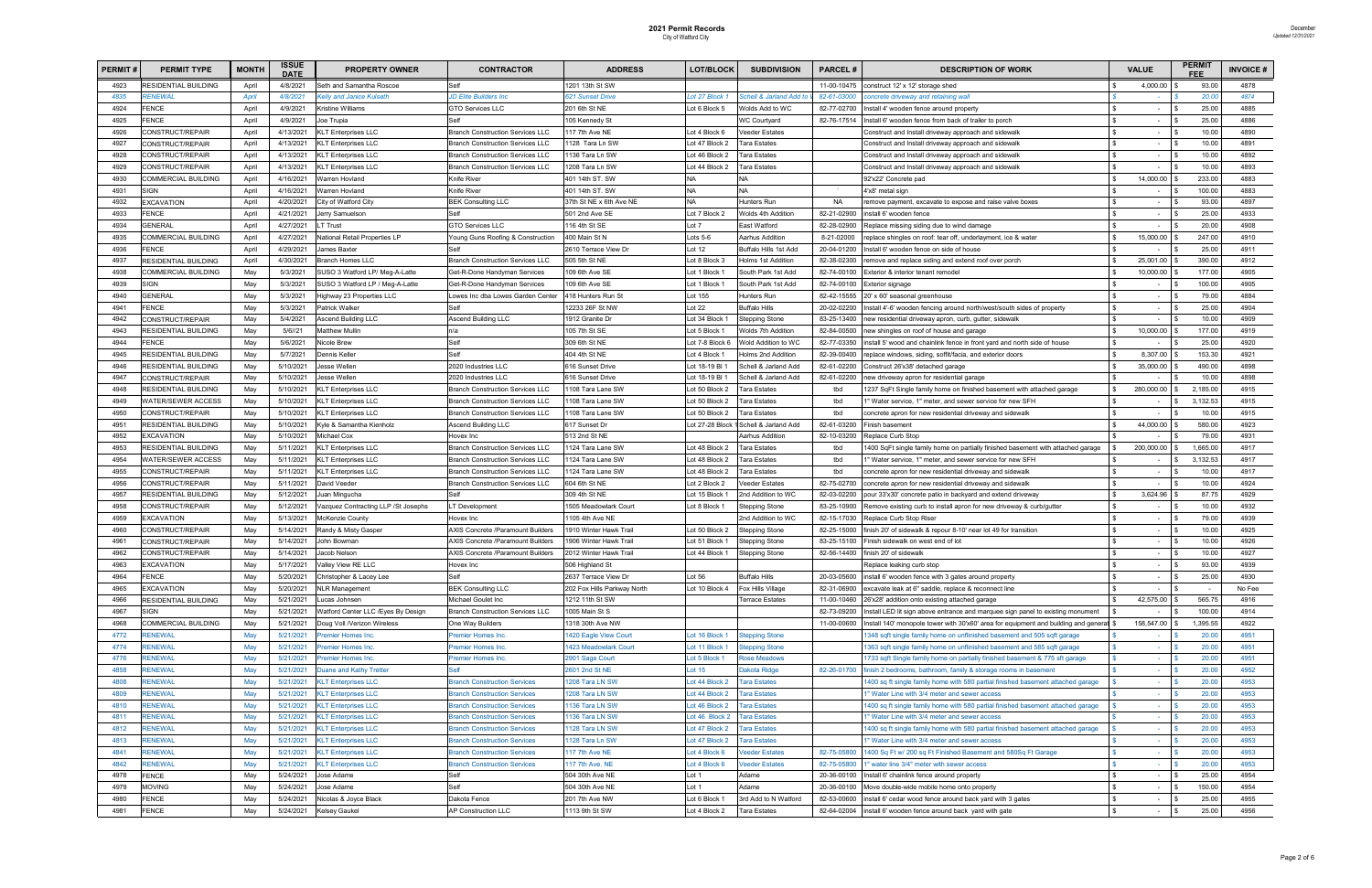| <b>PERMIT#</b> | <b>PERMIT TYPE</b>                         | <b>MONTH</b> | <b>ISSUE</b><br><b>DATE</b> | <b>PROPERTY OWNER</b>                                    | <b>CONTRACTOR</b>                                    | <b>ADDRESS</b>                     | LOT/BLOCK               | <b>SUBDIVISION</b>              | <b>PARCEL#</b>     | <b>DESCRIPTION OF WORK</b>                                                                                                                 | <b>VALUE</b>             | <b>PERMIT</b>     | <b>INVOICE#</b> |
|----------------|--------------------------------------------|--------------|-----------------------------|----------------------------------------------------------|------------------------------------------------------|------------------------------------|-------------------------|---------------------------------|--------------------|--------------------------------------------------------------------------------------------------------------------------------------------|--------------------------|-------------------|-----------------|
| 4923           | RESIDENTIAL BUILDING                       | April        | 4/8/2021                    | Seth and Samantha Roscoe                                 | Self                                                 | 1201 13th St SW                    |                         |                                 | 11-00-10475        | construct 12' x 12' storage shed                                                                                                           | 4,000.00                 | 93.00             | 4878            |
| 4835           | <b>RENEWAL</b>                             | <b>April</b> | 4/8/2021                    | elly and Janice Kulseth.                                 | D Elite Builders Inc                                 | 621 Sunset Drive                   | ot 27 Block 1           | Schell & Jarland Add to         | 82-61-03000        | oncrete driveway and retaining wall                                                                                                        |                          | 20.00             | 4874            |
| 4924           | FENCE                                      | April        | 4/9/2021                    | <b>Kristine Williams</b>                                 | <b>GTO Services LLC</b>                              | 201 6th St NE                      | Lot 6 Block 5           | Wolds Add to WC                 | 82-77-02700        | Install 4' wooden fence around property                                                                                                    | $\overline{\phantom{a}}$ | 25.00             | 4885            |
| 4925           | <b>FENCE</b>                               | April        | 4/9/2021                    | Joe Trupia                                               |                                                      | 105 Kennedy St                     |                         | <b>WC Courtyard</b>             | 82-76-17514        | Install 6' wooden fence from back of trailer to porch                                                                                      | $\overline{\phantom{a}}$ | 25.00             | 4886            |
| 4926           | CONSTRUCT/REPAIR                           | April        | 4/13/2021                   | <b>KLT Enterprises LLC</b>                               | <b>Branch Construction Services LLC</b>              | 117 7th Ave NE                     | Lot 4 Block 6           | Veeder Estates                  |                    | Construct and Install driveway approach and sidewalk                                                                                       | $\overline{\phantom{a}}$ | 10.00             | 4890            |
| 4927           | CONSTRUCT/REPAIR                           | April        | 4/13/2021                   | <b>KLT Enterprises LLC</b>                               | <b>Branch Construction Services LLC</b>              | 128 Tara Ln SW                     | Lot 47 Block 2          | <b>Tara Estates</b>             |                    | Construct and Install driveway approach and sidewalk                                                                                       | $\sim$                   | 10.00             | 4891            |
| 4928           | CONSTRUCT/REPAIR                           | April        | 4/13/2021                   | <b>KLT Enterprises LLC</b>                               | <b>Branch Construction Services LLC</b>              | 1136 Tara Ln SW                    | Lot 46 Block 2          | <b>Tara Estates</b>             |                    | Construct and Install driveway approach and sidewalk                                                                                       | $\sim$                   | 10.00             | 4892            |
| 4929           | CONSTRUCT/REPAIR                           | April        | 4/13/2021                   | <b>KLT Enterprises LLC</b>                               | <b>Branch Construction Services LLC</b>              | 1208 Tara Ln SW                    | Lot 44 Block 2          | Tara Estates                    |                    | Construct and Install driveway approach and sidewalk                                                                                       | $\sim$                   | 10.00             | 4893            |
| 4930           | COMMERCIAL BUILDING                        | April        | 4/16/2021                   | Narren Hovland                                           | <b>Knife River</b>                                   | 401 14th ST. SW                    | NA                      | <b>NA</b>                       |                    | 92'x22' Concrete pad                                                                                                                       | 14,000.00                | 233.00            | 4883            |
| 4931           | <b>SIGN</b>                                | April        | 4/16/2021                   | Varren Hovland                                           | <b>Knife River</b>                                   | 401 14th ST. SW                    | NA                      | <b>NA</b>                       |                    | 4'x8' metal sign                                                                                                                           |                          | 100.00            | 4883            |
| 4932           | EXCAVATION                                 | April        | 4/20/2021                   | City of Watford City                                     | <b>BEK Consulting LLC</b>                            | 37th St NE x 6th Ave NE            | <b>NA</b>               | Hunters Run                     | NA                 | remove payment, excavate to expose and raise valve boxes                                                                                   | $\overline{\phantom{a}}$ | 93.00             | 4897            |
| 4933           | <b>FENCE</b>                               | April        | 4/21/2021                   | Jerry Samuelson                                          |                                                      | 501 2nd Ave SE                     | Lot 7 Block 2           | Wolds 4th Addition              | 82-21-02900        | install 6' wooden fence                                                                                                                    | $\overline{\phantom{a}}$ | 25.00             | 4933            |
| 4934           | GENERAL                                    | April        | 4/27/2021                   | T Trust                                                  | GTO Services LLC                                     | 16 4th St SE                       | Lot 7                   | East Watford                    | 82-28-02900        | Replace missing siding due to wind damage                                                                                                  | $\sim$                   | 20.00             | 4908            |
| 4935           | COMMERCIAL BUILDING                        | April        | 4/27/2021                   | <b>National Retail Properties LP</b>                     | oung Guns Roofing & Construction                     | 400 Main St N                      | $ots 5-6$               | Aarhus Addition                 | 8-21-02000         | replace shingles on roof: tear off, underlayment, ice & water                                                                              | 15,000.00                | 247.00            | 4910            |
| 4936           | <b>ENCE</b>                                | April        | 4/29/2021                   | James Baxter                                             |                                                      | 2610 Terrace View Dr               | Lot 12                  | Buffalo Hills 1st Add           | 20-04-01200        | Install 6' wooden fence on side of house                                                                                                   | $\sim$                   | 25.00             | 4911            |
| 4937           | RESIDENTIAL BUILDING                       | April        | 4/30/2021                   | <b>Branch Homes LLC</b>                                  | <b>Branch Construction Services LLC</b>              | 505 5th St NE                      | Lot 8 Block 3           | <b>Holms 1st Addition</b>       | 82-38-02300        | remove and replace siding and extend roof over porch                                                                                       | 25,001.00                | 390.00            | 4912            |
| 4938           | COMMERCIAL BUILDING                        | May          | 5/3/2021                    | SUSO 3 Watford LP/ Meg-A-Latte                           | Get-R-Done Handyman Services                         | 109 6th Ave SE                     | Lot 1 Block 1           | South Park 1st Add              | 82-74-00100        | Exterior & interior tenant remodel                                                                                                         | 10,000.00                | 177.00            | 4905            |
| 4939           | <b>SIGN</b>                                | May          | 5/3/2021                    | SUSO 3 Watford LP / Meg-A-Latte                          | Get-R-Done Handyman Services                         | 109 6th Ave SE                     | Lot 1 Block 1           | South Park 1st Add              | 82-74-00100        | Exterior signage                                                                                                                           | $\sim$                   | 100.00            | 4905            |
| 4940           | <b>GENERAL</b>                             | May          | 5/3/2021                    | Highway 23 Properties LLC                                | owes Inc dba Lowes Garden Cente                      | 418 Hunters Run St                 | Lot 155                 | Hunters Run                     | 82-42-15555        | 20' x 60' seasonal greenhouse                                                                                                              | $\sim$                   | 79.00             | 4884            |
| 4941           | <b>FENCE</b>                               | May          | 5/3/2021                    | Patrick Walker                                           |                                                      | 2233 26F St NW                     | Lot 22                  | <b>Buffalo Hills</b>            | 20-02-02200        | Install 4'-6' wooden fencing around north/west/south sides of property                                                                     | $\overline{\phantom{a}}$ | 25.00             | 4904            |
| 4942           | CONSTRUCT/REPAIR                           | May          | 5/4/2021                    | <b>Ascend Building LLC</b>                               | Ascend Building LLC                                  | 1912 Granite Dr                    | ot 34 Block             | <b>Stepping Stone</b>           | 83-25-13400        | new residential driveway apron, curb, gutter, sidewalk                                                                                     |                          | 10.00             | 4909            |
| 4943           | RESIDENTIAL BUILDING                       | May          | 5/6//21                     | Matthew Mullin                                           |                                                      | 105 7th St SE                      | Lot 5 Block 1           | <b>Wolds 7th Addition</b>       | 82-84-00500        | new shingles on roof of house and garage                                                                                                   | 10,000.00                | 177.00            | 4919            |
| 4944           | <b>ENCE</b>                                | May          | 5/6/2021                    | <b>Nicole Brew</b>                                       | Self                                                 | 309 6th St NE                      | Lot 7-8 Block (         | Wold Addition to WC             | 82-77-03350        | install 5' wood and chainlink fence in front yard and north side of house                                                                  | $\sim$                   | 25.00             | 4920            |
| 4945           | <b>RESIDENTIAL BUILDING</b>                | May          | 5/7/2021                    | Dennis Keller                                            | Self                                                 | 404 4th St NE                      | Lot 4 Block 1           | Holms 2nd Addition              | 82-39-00400        | replace windows, siding, soffit/facia, and exterior doors                                                                                  | 8,307.00                 | 153.30            | 4921            |
| 4946           | RESIDENTIAL BUILDING                       | May          | 5/10/2021                   | esse Wellen                                              | 2020 Industries LLC                                  | 616 Sunset Drive                   | Lot 18-19 BI            | Schell & Jarland Add            | 82-61-02200        | Construct 26'x38' detached garage                                                                                                          | 35,000.00                | 490.00            | 4898            |
| 4947           | CONSTRUCT/REPAIR                           | May          | 5/10/2021                   | esse Wellen                                              | 2020 Industries LLC                                  | 616 Sunset Drive                   | Lot 18-19 Bl $\cdot$    | Schell & Jarland Add            | 82-61-02200        | new driveway apron for residential garage                                                                                                  |                          | 10.00             | 4898            |
| 4948           | RESIDENTIAL BUILDING                       | May          | 5/10/2021                   | <b>KLT Enterprises LLC</b>                               | 3ranch Construction Services LLC                     | 1108 Tara Lane SW                  | Lot 50 Block 2          | Tara Estates                    | tbd                | 1237 SqFt Single family home on finished basement with attached garage                                                                     | 280,000.00               | 2,185.00          | 4915            |
| 4949           | WATER/SEWER ACCESS                         | May          | 5/10/2021                   | <b>KLT Enterprises LLC</b>                               | Branch Construction Services LLC                     | 108 Tara Lane SW                   | Lot 50 Block 2          | Tara Estates                    | tbd                | I" Water service, 1" meter, and sewer service for new SFH                                                                                  | $\overline{\phantom{a}}$ | 3,132.53          | 4915            |
| 4950           | CONSTRUCT/REPAIR                           | May          | 5/10/2021                   | <b>KLT Enterprises LLC</b>                               | <b>Branch Construction Services LLC</b>              | 1108 Tara Lane SW                  | ot 50 Block 2           | Tara Estates                    | tbd                | concrete apron for new residential driveway and sidewalk                                                                                   |                          | 10.00             | 4915            |
| 4951           | RESIDENTIAL BUILDING                       | May          | 5/10/2021                   | Kyle & Samantha Kienholz                                 | Ascend Building LLC                                  | 617 Sunset Dr                      | Lot 27-28 Block         | Schell & Jarland Add            | 82-61-03200        | Finish basement                                                                                                                            | 44,000.00                | 580.00            | 4923            |
| 4952<br>4953   | <b>EXCAVATION</b>                          | May          | 5/10/2021                   | Michael Cox                                              | Hovex Inc<br><b>Iranch Construction Services LLC</b> | 513 2nd St NE<br>1124 Tara Lane SW | Lot 48 Block 2          | Aarhus Addition<br>Tara Estates | 82-10-03200<br>tbd | Replace Curb Stop                                                                                                                          | 200,000.00               | 79.00<br>1,665.00 | 4931<br>4917    |
| 4954           | RESIDENTIAL BUILDING<br>WATER/SEWER ACCESS | May<br>May   | 5/11/2021<br>5/11/2021      | <b>KLT Enterprises LLC</b><br><b>KLT Enterprises LLC</b> | <b>Branch Construction Services LLC</b>              | 124 Tara Lane SW                   | Lot 48 Block 2          | Tara Estates                    | tbd                | 400 SqFt single family home on partially finished basement with attached garage<br>"Water service, 1" meter, and sewer service for new SFH |                          | 3,132.53          | 4917            |
| 4955           | CONSTRUCT/REPAIR                           | May          | 5/11/2021                   | <b>KLT Enterprises LLC</b>                               | <b>Branch Construction Services LLC</b>              | 124 Tara Lane SW                   | Lot 48 Block 2          | Tara Estates                    | tbd                | concrete apron for new residential driveway and sidewalk:                                                                                  | $\overline{\phantom{a}}$ | 10.00             | 4917            |
| 4956           | CONSTRUCT/REPAIR                           | May          | 5/11/2021                   | David Veeder                                             | <b>Branch Construction Services LLC</b>              | 604 6th St NE                      | Lot 2 Block 2           | Veeder Estates                  | 82-75-02700        | concrete apron for new residential driveway and sidewalk                                                                                   | $\overline{\phantom{a}}$ | 10.00             | 4924            |
| 4957           | RESIDENTIAL BUILDING                       | May          | 5/12/2021                   | uan Mingucha                                             |                                                      | 309 4th St NE                      | Lot 15 Block            | 2nd Addition to WC              | 82-03-02200        | pour 33'x30' concrete patio in backyard and extend driveway                                                                                | 3,624.96                 | 87.75             | 4929            |
| 4958           | CONSTRUCT/REPAIR                           | May          | 5/12/2021                   | azquez Contracting LLP /St Josephs                       | T Development                                        | 1505 Meadowlark Court              | Lot 8 Block 1           | <b>Stepping Stone</b>           | 83-25-10900        | Remove existing curb to install apron for new driveway & curb/gutter                                                                       | $\sim$                   | 10.00             | 4932            |
| 4959           | EXCAVATION                                 | May          | 5/13/2021                   | McKenzie County                                          | Hovex Inc                                            | 105 4th Ave NE                     |                         | 2nd Addition to WC              | 82-15-17030        | Replace Curb Stop Riser                                                                                                                    | $\sim$                   | 79.00             | 4939            |
| 4960           | CONSTRUCT/REPAIR                           | May          | 5/14/2021                   | Randy & Misty Gasper                                     | AXIS Concrete /Paramount Builders                    | 1910 Winter Hawk Trail             | Lot 50 Block 2          | Stepping Stone                  | 82-25-15000        | finish 20' of sidewalk & repour 8-10' near lot 49 for transition                                                                           | $\overline{\phantom{a}}$ | 10.00             | 4925            |
| 4961           | CONSTRUCT/REPAIR                           | May          | 5/14/2021                   | John Bowman                                              | AXIS Concrete /Paramount Builders                    | 1906 Winter Hawk Trail             | Lot 51 Block $^{\circ}$ | <b>Stepping Stone</b>           | 83-25-15100        | Finish sidewalk on west end of lot                                                                                                         | $\sim$                   | 10.00             | 4926            |
| 4962           | CONSTRUCT/REPAIR                           | May          | 5/14/2021                   | Jacob Nelson                                             | AXIS Concrete /Paramount Builders                    | 2012 Winter Hawk Trail             | Lot 44 Block 1          | <b>Stepping Stone</b>           | 82-56-14400        | finish 20' of sidewalk                                                                                                                     |                          | 10.00             | 4927            |
| 4963           | EXCAVATION                                 | May          | 5/17/2021                   | Valley View RE LLC                                       | Hovex Inc                                            | 506 Highland St                    |                         |                                 |                    | Replace leaking curb stop                                                                                                                  | $\sim$                   | 93.00             | 4939            |
| 4964           | <b>FENCE</b>                               | May          | 5/20/2021                   | Christopher & Lacey Lee                                  | Self                                                 | 2637 Terrace View Dr               | Lot 56                  | <b>Buffalo Hills</b>            | 20-03-05600        | install 6' wooden fence with 3 gates around property                                                                                       | $\sim$                   | 25.00             | 4930            |
| 4965           | EXCAVATION                                 | May          | 5/20/2021                   | <b>NLR Management</b>                                    | <b>BEK Consulting LLC</b>                            | 202 Fox Hills Parkway North        | Lot 10 Block 4          | Fox Hills Village               | 82-31-06900        | excavate leak at 6" saddle, replace & reconnect line                                                                                       | $\sim$                   |                   | No Fee          |
| 4966           | RESIDENTIAL BUILDING                       | May          | 5/21/2021                   | Lucas Johnsen                                            | Michael Goulet Inc                                   | 1212 11th St SW                    |                         | <b>Terrace Estates</b>          | 11-00-10460        | 26'x28' addition onto existing attached garage                                                                                             | 42,575.00                | 565.75            | 4916            |
| 4967           | SIGN                                       | May          | 5/21/2021                   | <b>Natford Center LLC /Eyes By Design</b>                | <b>Branch Construction Services LLC</b>              | 1005 Main St S                     |                         |                                 | 82-73-09200        | Install LED lit sign above entrance and marquee sign panel to existing monument                                                            | $\overline{\phantom{a}}$ | 100.00            | 4914            |
| 4968           | COMMERCIAL BUILDING                        | May          | 5/21/2021                   | Doug Voll /Verizon Wireless                              | One Way Builders                                     | 1318 30th Ave NW                   |                         |                                 | 11-00-00600        | Install 140' monopole tower with 30'x60' area for equipment and building and general \$                                                    | 158,547.00               | 1,395.55          | 4922            |
| 4772           | RENEWAL                                    | May          | 5/21/2021                   | remier Homes Inc.                                        | remier Homes Inc.                                    | 420 Eagle View Court               | ot 16 Block 1           | <b>Stepping Stone</b>           |                    | 1348 sqft single family home on unflinished basement and 505 sqft garage                                                                   |                          | 20.00             | 4951            |
| 4774           | RENEWAL                                    | May          | 5/21/2021                   | remier Homes Inc.                                        | Premier Homes Inc.                                   | 1423 Meadowlark Court              | Lot 11 Block 1          | <b>Stepping Stone</b>           |                    | 1363 sqft single family home on unflinished basement and 585 sqft garage                                                                   | $\sim$                   | 20.00             | 4951            |
| 4776           | RENEWAL                                    | May          | 5/21/2021                   | remier Homes Inc.                                        | remier Homes Inc.                                    | 2901 Sage Court                    | Lot 5 Block 1           | <b>Rose Meadows</b>             |                    | 1733 sqft Single family home on partially finished basement & 775 sft garage                                                               | $\sim$                   | 20.00             | 4951            |
| 4858           | RENEWAL                                    | May          | 5/21/2021                   | Duane and Kathy Tretter                                  | ۵lf                                                  | 2601 2nd St NE                     | Lot $15$                | Dakota Ridge                    | 82-26-01700        | finish 2 bedrooms, bathroom, family & storage rooms in basement                                                                            | $\sim$                   | 20.00             | 4952            |
| 4808           | RENEWAL                                    | May          | 5/21/2021                   | <b>KLT Enterprises LLC</b>                               | <b>Branch Construction Services</b>                  | 1208 Tara LN SW                    | ot 44 Block 2           | <b>Tara Estates</b>             |                    | 1400 sq ft single family home with 580 partial finished basement attached garage                                                           | ×                        | 20.00             | 4953            |
| 4809           | RENEWAL                                    | May          | 5/21/2021                   | <b>KLT Enterprises LLC</b>                               | <b>Branch Construction Services</b>                  | 1208 Tara LN SW                    | ot 44 Block 2           | <b>Tara Estates</b>             |                    | I" Water Line with 3/4 meter and sewer access                                                                                              | $\sim$                   | 20.00             | 4953            |
| 4810           | RENEWAL                                    | May          | 5/21/2021                   | <b>KLT Enterprises LLC</b>                               | <b>Branch Construction Services</b>                  | 1136 Tara LN SW                    | ot 46 Block 2           | <b>Tara Estates</b>             |                    | 1400 sq ft single family home with 580 partial finished basement attached garage                                                           | $\sim$                   | 20.00             | 4953            |
| 4811           | RENEWAL                                    | May          | 5/21/2021                   | <b>KLT Enterprises LLC</b>                               | <b>Branch Construction Services</b>                  | 136 Tara LN SW                     | Lot 46 Block 2          | <b>Tara Estates</b>             |                    | I" Water Line with 3/4 meter and sewer access                                                                                              | $\sim$                   | 20.00             | 4953            |
| 4812           | RENEWAL                                    | May          | 5/21/2021                   | <b>KLT Enterprises LLC</b>                               | <b>Branch Construction Services</b>                  | 128 Tara LN SW                     | ot 47 Block 2           | <b>Tara Estates</b>             |                    | 1400 sq ft single family home with 580 partial finished basement attached garage                                                           | $\sim$                   | 20.00             | 4953            |
| 4813           | RENEWAL                                    | May          | 5/21/2021                   | <b>KLT Enterprises LLC</b>                               | <b>Branch Construction Services</b>                  | 128 Tara Ln SW                     | ot 47 Block 2           | <b>Tara Estates</b>             |                    | I" Water Line with 3/4 meter and sewer access                                                                                              | $\sim$                   | 20.00             | 4953            |
| 4841           | RENEWAL                                    | May          | 5/21/2021                   | <b>KLT Enterprises LLC</b>                               | ranch Construction Services                          | 117 7th Ave NE                     | ot 4 Block 6            | <b>Veeder Estates</b>           | 82-75-05800        | 1400 Sq Ft w/ 200 sq Ft Finished Basement and 580Sq Ft Garage                                                                              | ×                        | 20.00             | 4953            |
| 4842           | RENEWAL                                    | May          | 5/21/2021                   | <b>KLT Enterprises LLC</b>                               | <b>Branch Construction Services</b>                  | 117 7th Ave. NE                    | ot 4 Block 6            | <b>Veeder Estates</b>           | 82-75-05800        | " water line 3/4" meter with sewer access                                                                                                  | $\sim$                   | 20.00             | 4953            |
| 4978           | <b>FENCE</b>                               | May          | 5/24/2021                   | Jose Adame                                               | Self                                                 | 504 30th Ave NE                    | Lot 1                   | Adame                           | 20-36-00100        | Install 6' chainlink fence around property                                                                                                 | $\overline{\phantom{a}}$ | 25.00             | 4954            |
| 4979           | <b>MOVING</b>                              | May          | 5/24/2021                   | Jose Adame                                               | Self                                                 | 504 30th Ave NE                    | Lot 1                   | Adame                           | 20-36-00100        | Move double-wide mobile home onto property                                                                                                 | $\sim$                   | 150.00            | 4954            |
| 4980           | FENCE                                      | May          | 5/24/2021                   | Nicolas & Joyce Black                                    | <b>Jakota Fence</b>                                  | 201 7th Ave NW                     | Lot 6 Block 1           | 3rd Add to N Watford            | 82-53-00600        | install 6' cedar wood fence around back yard with 3 gates                                                                                  | $\sim$                   | 25.00             | 4955            |
| 4981           | <b>FENCE</b>                               | May          | 5/24/2021                   | <b>Kelsey Gaukel</b>                                     | AP Construction LLC                                  | 1113 9th St SW                     | Lot 4 Block 2           | <b>Tara Estates</b>             |                    | 82-64-02004 install 6' wooden fence around back yard with gate                                                                             | $\sim$                   | 25.00             | 4956            |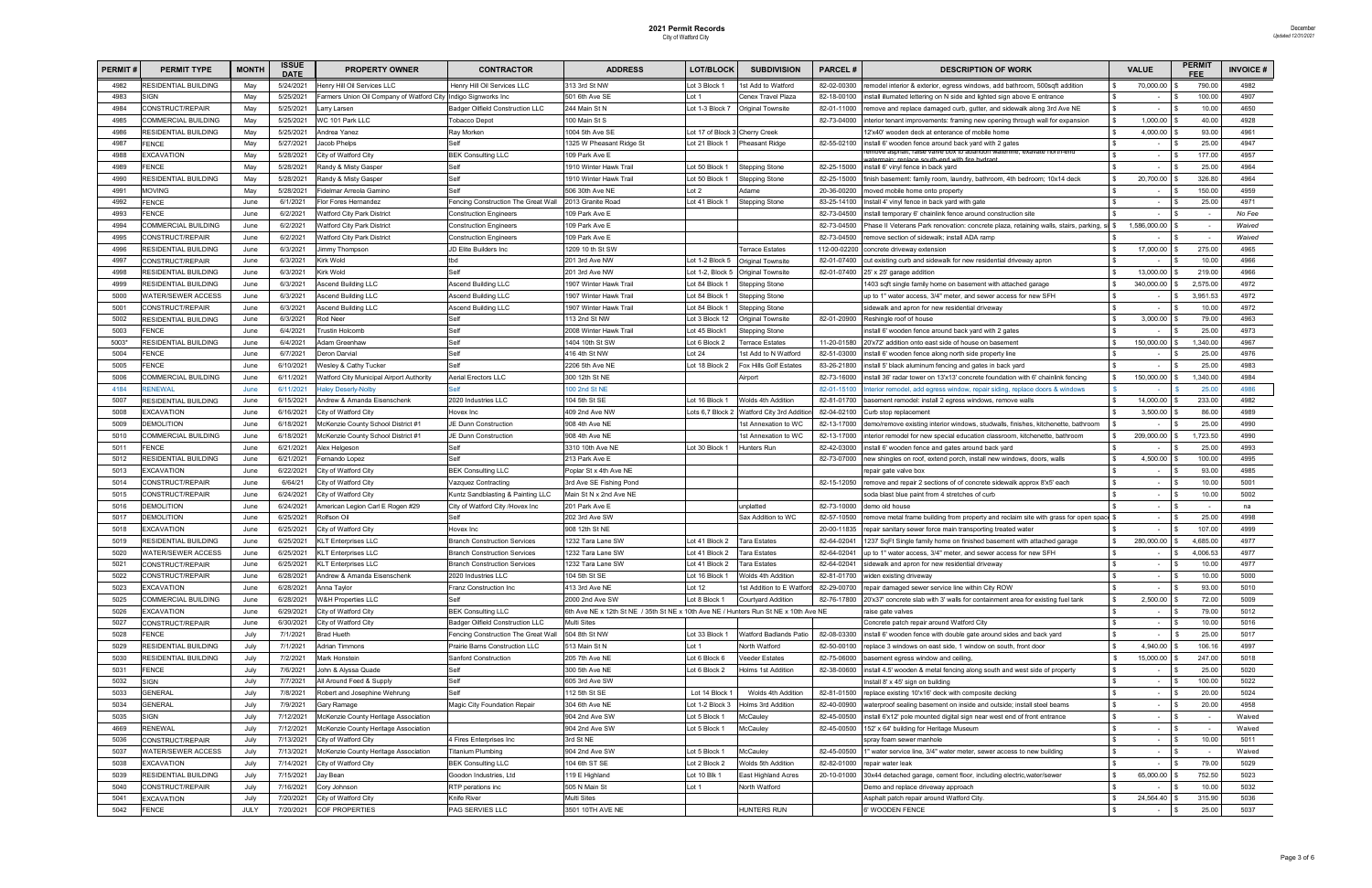| <b>PERMIT</b> | <b>PERMIT TYPE</b>          | <b>MONTH</b> | <b>ISSUE</b><br><b>DATE</b> | <b>PROPERTY OWNER</b>                                          | <b>CONTRACTOR</b>                   | <b>ADDRESS</b>                                                                       | <b>LOT/BLOCK</b>               | <b>SUBDIVISION</b>               | <b>PARCEL#</b> | <b>DESCRIPTION OF WORK</b>                                                                         | <b>VALUE</b>             | PERMIT   | <b>INVOICE#</b> |
|---------------|-----------------------------|--------------|-----------------------------|----------------------------------------------------------------|-------------------------------------|--------------------------------------------------------------------------------------|--------------------------------|----------------------------------|----------------|----------------------------------------------------------------------------------------------------|--------------------------|----------|-----------------|
| 4982          | RESIDENTIAL BUILDING        | May          | 5/24/2021                   | Henry Hill Oil Services LLC                                    | Henry Hill Oil Services LLC         | 313 3rd St NW                                                                        | Lot 3 Block 1                  | 1st Add to Watford               | 82-02-00300    | remodel interior & exterior, egress windows, add bathroom, 500sqft addition                        | 70,000.00                | 790.00   | 4982            |
| 4983          | SIGN                        | May          | 5/25/2021                   | Farmers Union Oil Company of Watford City Indigo Signworks Inc |                                     | 501 6th Ave SE                                                                       | ∟ot 1                          | Cenex Travel Plaza               | 82-18-00100    | nstall illumated lettering on N side and lighted sign above E entrance                             |                          | 100.00   | 4907            |
| 4984          | CONSTRUCT/REPAIR            | May          | 5/25/2021                   | arry Larsen                                                    | Badger Oilfield Construction LLC    | 244 Main St N                                                                        | Lot 1-3 Block 7                | <b>Original Townsite</b>         | 82-01-11000    | remove and replace damaged curb, gutter, and sidewalk along 3rd Ave NE                             | $\sim$                   | 10.00    | 4650            |
| 4985          | <b>COMMERCIAL BUILDING</b>  | May          | 5/25/2021                   | <b>NC 101 Park LLC</b>                                         | <b>Tobacco Depot</b>                | 100 Main St S                                                                        |                                |                                  | 82-73-04000    | nterior tenant improvements: framing new opening through wall for expansion                        | 1,000.00                 | 40.00    | 4928            |
| 4986          | RESIDENTIAL BUILDING        | May          | 5/25/2021                   | Andrea Yanez                                                   | Ray Morken                          | 004 5th Ave SE                                                                       | Lot 17 of Block 3 Cherry Creek |                                  |                | 12'x40' wooden deck at enterance of mobile home                                                    | 4,000.00                 | 93.00    | 4961            |
| 4987          | <b>FENCE</b>                | May          | 5/27/2021                   | Jacob Phelps                                                   |                                     | 325 W Pheasant Ridge St                                                              | Lot 21 Block 1                 | <b>Pheasant Ridge</b>            | 82-55-02100    | nstall 6' wooden fence around back yard with 2 gates                                               | $\sim$                   | 25.00    | 4947            |
| 4988          | EXCAVATION                  | May          | 5/28/2021                   | City of Watford City                                           | <b>BEK Consulting LLC</b>           | 109 Park Ave E                                                                       |                                |                                  |                | emove asphalt, raise valve box to abandon waterline; exavate north-end<br>th end with fire hydrant | $\sim$                   | 177.00   | 4957            |
| 4989          | FENCE                       | May          | 5/28/2021                   | Randy & Misty Gasper                                           | Self                                | 1910 Winter Hawk Trail                                                               | Lot 50 Block                   | <b>Stepping Stone</b>            | 82-25-15000    | install 6' vinyl fence in back yard                                                                | $\sim$                   | 25.00    | 4964            |
| 4990          | <b>RESIDENTIAL BUILDING</b> | May          | 5/28/2021                   | Randy & Misty Gasper                                           | Self                                | 1910 Winter Hawk Trail                                                               | Lot 50 Block 1                 | <b>Stepping Stone</b>            | 82-25-15000    | finish basement: family room, laundry, bathroom, 4th bedroom; 10x14 deck                           | 20,700.00                | 326.80   | 4964            |
| 499'          | <b>MOVING</b>               | May          | 5/28/2021                   | idelmar Arreola Gamino                                         |                                     | 506 30th Ave NE                                                                      | $\cot 2$                       | Adame                            | 20-36-00200    | moved mobile home onto property                                                                    |                          | 150.00   | 4959            |
| 4992          | <b>FENCE</b>                | June         | 6/1/2021                    | <b>Ior Fores Hernandez</b>                                     | encing Construction The Great Wall  | 2013 Granite Road                                                                    | Lot 41 Block 1                 | <b>Stepping Stone</b>            | 83-25-14100    | Install 4' vinyl fence in back yard with gate                                                      | $\overline{\phantom{a}}$ | 25.00    | 4971            |
| 4993          | <b>FENCE</b>                | June         | 6/2/2021                    | <b>Natford City Park District</b>                              | Construction Engineers              | 109 Park Ave E                                                                       |                                |                                  | 82-73-04500    | install temporary 6' chainlink fence around construction site                                      |                          | $\sim$   | No Fee          |
| 4994          | COMMERCIAL BUILDING         | June         | 6/2/2021                    | <b>Natford City Park District</b>                              | Construction Engineers              | 109 Park Ave E                                                                       |                                |                                  | 82-73-04500    | Phase II Veterans Park renovation: concrete plaza, retaining walls, stairs, parking, si  \$        | 1,586,000.00             |          | Waived          |
| 4995          | CONSTRUCT/REPAIR            | June         | 6/2/2021                    | Watford City Park District                                     | Construction Engineers              | 109 Park Ave E                                                                       |                                |                                  | 82-73-04500    | emove section of sidewalk; install ADA ramp                                                        |                          |          | Waived          |
| 4996          | <b>RESIDENTIAL BUILDING</b> | June         | 6/3/2021                    | Jimmy Thompson                                                 | JD Elite Builders Inc               | 1209 10 th St SW                                                                     |                                | Terrace Estates                  | 112-00-02200   | concrete driveway extension                                                                        | 17,000.00                | 275.00   | 4965            |
| 4997          | CONSTRUCT/REPAIR            | June         | 6/3/2021                    | Kirk Wold                                                      |                                     | 201 3rd Ave NW                                                                       | ot 1-2 Block 5                 | Original Townsite                | 82-01-07400    | cut existing curb and sidewalk for new residential driveway apron                                  |                          | 10.00    | 4966            |
| 4998          | <b>RESIDENTIAL BUILDING</b> | June         | 6/3/2021                    | Kirk Wold                                                      | Self                                | 201 3rd Ave NW                                                                       | Lot 1-2, Block 5               | <b>Original Townsite</b>         | 82-01-07400    | 25' x 25' garage addition                                                                          | 13,000.00                | 219.00   | 4966            |
| 4999          | RESIDENTIAL BUILDING        | June         | 6/3/2021                    | <b>Ascend Building LLC</b>                                     | <b>Ascend Building LLC</b>          | 1907 Winter Hawk Trail                                                               | ot 84 Block                    | <b>Stepping Stone</b>            |                | 1403 sqft single family home on basement with attached garage                                      | 340,000.00               | 2,575.00 | 4972            |
| 5000          | <b>WATER/SEWER ACCESS</b>   | June         | 6/3/2021                    | Ascend Building LLC                                            | <b>Ascend Building LLC</b>          | 1907 Winter Hawk Trail                                                               | Lot 84 Block 1                 | <b>Stepping Stone</b>            |                | up to 1" water access, 3/4" meter, and sewer access for new SFH                                    | $\sim$                   | 3,951.53 | 4972            |
| 5001          | CONSTRUCT/REPAIR            | June         | 6/3/2021                    | <b>Ascend Building LLC</b>                                     | <b>Ascend Building LLC</b>          | 1907 Winter Hawk Trail                                                               | Lot 84 Block $^{\circ}$        | <b>Stepping Stone</b>            |                | sidewalk and apron for new residential driveway                                                    | $\overline{\phantom{a}}$ | 10.00    | 4972            |
| 5002          | <b>RESIDENTIAL BUILDING</b> | June         | 6/3/2021                    | <b>Rod Neer</b>                                                |                                     | 13 2nd St NW                                                                         | Lot 3 Block 12                 | <b>Original Townsite</b>         | 82-01-20900    | Reshingle roof of house                                                                            | 3,000.00                 | 79.00    | 4963            |
| 5003          | <b>FENCE</b>                | June         | 6/4/2021                    | <b>Trustin Holcomb</b>                                         | elf                                 | 2008 Winter Hawk Trail                                                               | Lot 45 Block1                  | <b>Stepping Stone</b>            |                | าstall 6' wooden fence around back yard with 2 gates                                               |                          | 25.00    | 4973            |
| 5003          | RESIDENTIAL BUILDING        | June         | 6/4/2021                    | Adam Greenhaw                                                  | Self                                | 1404 10th St SW                                                                      | Lot 6 Block 2                  | Terrace Estates                  | 11-20-01580    | 20'x72' addition onto east side of house on basement                                               | 150,000.00               | 1,340.00 | 4967            |
| 5004          | FENCE                       | June         | 6/7/2021                    | Deron Darvial                                                  | Self                                | 416 4th St NW                                                                        | Lot 24                         | 1st Add to N Watford             | 82-51-03000    | nstall 6' wooden fence along north side property line                                              |                          | 25.00    | 4976            |
| 5005          | <b>FENCE</b>                | June         | 6/10/2021                   | Wesley & Cathy Tucker                                          |                                     | 2206 5th Ave NE                                                                      | ot 18 Block 2                  | Fox Hills Golf Estates           | 83-26-21800    | nstall 5' black aluminum fencing and gates in back yard                                            |                          | 25.00    | 4983            |
| 5006          | COMMERCIAL BUILDING         | June         | 6/11/2021                   | <b>Natford City Municipal Airport Authority</b>                | <b>Aerial Erectors LLC</b>          | 300 12th St NE                                                                       |                                | Airport                          | 82-73-16000    | install 36' radar tower on 13'x13' concrete foundation with 6' chainlink fencing                   | 150,000.00               | 1,340.00 | 4984            |
| 4184          | RENEWAL                     | June         | 6/11/2021                   | laley Deserly-Nolby                                            |                                     | 100 2nd St NE                                                                        |                                |                                  | 82-01-15100    | nterior remodel, add egress window, repair siding, replace doors & windows                         |                          | 25.00    | 4986            |
| 5007          | <b>RESIDENTIAL BUILDING</b> | June         | 6/15/2021                   | Andrew & Amanda Eisenschenk                                    | 2020 Industries LLC                 | 104 5th St SE                                                                        | Lot 16 Block 1                 | Wolds 4th Addition               | 82-81-01700    | basement remodel: install 2 egress windows, remove walls                                           | 14,000.00                | 233.00   | 4982            |
| 5008          | <b>EXCAVATION</b>           | June         | 6/16/2021                   | City of Watford City                                           | <b>Hovex Inc</b>                    | 409 2nd Ave NW                                                                       | ots 6,7 Block 2                | <b>Watford City 3rd Addition</b> | 82-04-02100    | Curb stop replacement                                                                              | 3,500.00                 | 86.00    | 4989            |
| 5009          | DEMOLITION                  | June         | 6/18/2021                   | McKenzie County School District #1                             | JE Dunn Construction                | 908 4th Ave NE                                                                       |                                | 1st Annexation to WC             | 82-13-17000    | demo/remove existing interior windows, studwalls, finishes, kitchenette, bathroom                  | $\overline{\phantom{a}}$ | 25.00    | 4990            |
| 5010          | COMMERCIAL BUILDING         | June         | 6/18/2021                   | McKenzie County School District #1                             | JE Dunn Construction                | 908 4th Ave NE                                                                       |                                | 1st Annexation to WC             | 82-13-17000    | interior remodel for new special education classroom, kitchenette, bathroom                        | 209,000.00               | 1,723.50 | 4990            |
| 5011          | FENCE                       | June         | 6/21/2021                   | Alex Helgeson                                                  | Self                                | 3310 10th Ave NE                                                                     | Lot 30 Block 1                 | Hunters Run                      | 82-42-03000    | install 6' wooden fence and gates around back yard                                                 |                          | 25.00    | 4993            |
| 5012          | RESIDENTIAL BUILDING        | June         | 6/21/2021                   | Fernando Lopez                                                 | Self                                | 213 Park Ave E                                                                       |                                |                                  | 82-73-07000    | new shingles on roof, extend porch, install new windows, doors, walls                              | 4,500.00                 | 100.00   | 4995            |
| 5013          | EXCAVATION                  | June         | 6/22/2021                   | City of Watford City                                           | <b>BEK Consulting LLC</b>           | Poplar St x 4th Ave NE                                                               |                                |                                  |                | repair gate valve box                                                                              | $\overline{\phantom{a}}$ | 93.00    | 4985            |
| 5014          | CONSTRUCT/REPAIR            | June         | 6/64/21                     | City of Watford City                                           | /azquez Contracting                 | 3rd Ave SE Fishing Pond                                                              |                                |                                  | 82-15-12050    | emove and repair 2 sections of of concrete sidewalk approx 8'x5' each                              | $\blacksquare$           | 10.00    | 5001            |
| 5015          | CONSTRUCT/REPAIR            | June         | 6/24/2021                   | City of Watford City                                           | Kuntz Sandblasting & Painting LLC   | Main St N x 2nd Ave NE                                                               |                                |                                  |                | soda blast blue paint from 4 stretches of curb                                                     | $\sim$                   | 10.00    | 5002            |
| 5016          | <b>DEMOLITION</b>           | June         | 6/24/2021                   | American Legion Carl E Rogen #29                               | City of Watford City /Hovex Inc     | 201 Park Ave E                                                                       |                                | unplatted                        | 82-73-10000    | demo old house                                                                                     |                          |          | na              |
| 5017          | DEMOLITION                  | June         | 6/25/2021                   | Rolfson Oil                                                    | Self                                | 202 3rd Ave SW                                                                       |                                | Sax Addition to WC               | 82-57-10500    | emove metal frame building from property and reclaim site with grass for open space \$             | $\sim$                   | 25.00    | 4998            |
| 5018          | <b>EXCAVATION</b>           | June         | 6/25/2021                   | City of Watford City                                           | lovex Inc                           | 908 12th St NE                                                                       |                                |                                  | 20-00-11835    | repair sanitary sewer force main transporting treated water                                        |                          | 107.00   | 4999            |
| 5019          | <b>RESIDENTIAL BUILDING</b> | June         | 6/25/2021                   | <b>KLT Enterprises LLC</b>                                     | <b>Branch Construction Services</b> | 1232 Tara Lane SW                                                                    | Lot 41 Block 2                 | Tara Estates                     | 82-64-02041    | 1237 SqFt Single family home on finished basement with attached garage                             | 280,000.00               | 4,685.00 | 4977            |
| 5020          | <b>WATER/SEWER ACCESS</b>   | June         | 6/25/2021                   | <b>KLT Enterprises LLC</b>                                     | <b>Branch Construction Services</b> | 1232 Tara Lane SW                                                                    | Lot 41 Block 2                 | <b>Tara Estates</b>              | 82-64-02041    | up to 1" water access, 3/4" meter, and sewer access for new SFH                                    |                          | 4,006.53 | 4977            |
| 5021          | CONSTRUCT/REPAIR            | June         | 6/25/2021                   | <b>KLT Enterprises LLC</b>                                     | <b>Branch Construction Services</b> | 1232 Tara Lane SW                                                                    | Lot 41 Block 2                 | Tara Estates                     | 82-64-02041    | sidewalk and apron for new residential driveway                                                    | $\sim$                   | 10.00    | 4977            |
| 5022          | CONSTRUCT/REPAIR            | June         | 6/28/2021                   | Andrew & Amanda Eisenschenk                                    | 2020 Industries LLC                 | 104 5th St SE                                                                        | Lot 16 Block 1                 | Wolds 4th Addition               | 82-81-01700    | widen existing driveway                                                                            | $\sim$                   | 10.00    | 5000            |
| 5023          | EXCAVATION                  | June         | 6/28/2021                   | Anna Taylor                                                    | ranz Construction Inc               | 413 3rd Ave NE                                                                       | Lot 12                         | 1st Addition to E Watfor         | 82-29-00700    | repair damaged sewer service line within City ROW                                                  | $\sim$                   | 93.00    | 5010            |
| 5025          | <b>COMMERCIAL BUILDING</b>  | June         | 6/28/2021                   | <b>W&amp;H Properties LLC</b>                                  |                                     | 2000 2nd Ave SW                                                                      | Lot 8 Block 1                  | <b>Courtyard Addition</b>        | 82-76-17800    | 20'x37' concrete slab with 3' walls for containment area for existing fuel tank                    | 2,500.00                 | 72.00    | 5009            |
| 5026          | <b>EXCAVATION</b>           | June         | 6/29/2021                   | City of Watford City                                           | <b>BEK Consulting LLC</b>           | 6th Ave NE x 12th St NE / 35th St NE x 10th Ave NE / Hunters Run St NE x 10th Ave NE |                                |                                  |                | aise gate valves                                                                                   | $\sim$                   | 79.00    | 5012            |
| 5027          | CONSTRUCT/REPAIR            | June         | 6/30/2021                   | City of Watford City                                           | Badger Oilfield Construction LLC    | <b>Multi Sites</b>                                                                   |                                |                                  |                | Concrete patch repair around Watford City                                                          | $\sim$                   | 10.00    | 5016            |
| 5028          | FENCE                       | July         | 7/1/2021                    | <b>Brad Hueth</b>                                              | encing Construction The Great Wall  | 504 8th St NW                                                                        | Lot 33 Block 1                 | <b>Watford Badlands Patio</b>    | 82-08-03300    | install 6' wooden fence with double gate around sides and back yard                                | $\sim$                   | 25.00    | 5017            |
| 5029          | RESIDENTIAL BUILDING        | July         | 7/1/2021                    | <b>Adrian Timmons</b>                                          | Prairie Barns Construction LLC      | 513 Main St N                                                                        | Lot 1                          | North Watford                    | 82-50-00100    | replace 3 windows on east side, 1 window on south, front door                                      | 4,940.00                 | 106.16   | 4997            |
| 5030          | RESIDENTIAL BUILDING        | July         | 7/2/2021                    | Mark Honstein                                                  | Sanford Construction                | 205 7th Ave NE                                                                       | Lot 6 Block 6                  | Veeder Estates                   | 82-75-06000    | basement egress window and ceiling,                                                                | 15,000.00                | 247.00   | 5018            |
| 5031          | <b>FENCE</b>                | July         | 7/6/2021                    | John & Alyssa Quade                                            | Self                                | 300 5th Ave NE                                                                       | Lot 6 Block 2                  | Holms 1st Addition               | 82-38-00600    | install 4.5' wooden & metal fencing along south and west side of property                          | $\sim$                   | 25.00    | 5020            |
| 5032          | SIGN                        | July         | 7/7/2021                    | All Around Feed & Supply                                       | Self                                | 605 3rd Ave SW                                                                       |                                |                                  |                | nstall 8' x 45' sign on building                                                                   | $\sim$                   | 100.00   | 5022            |
| 5033          | GENERAL                     | July         | 7/8/2021                    | Robert and Josephine Wehrung                                   | Self                                | 112 5th St SE                                                                        | Lot 14 Block                   | Wolds 4th Addition               | 82-81-01500    | replace existing 10'x16' deck with composite decking                                               | $\sim$                   | 20.00    | 5024            |
| 5034          | <b>GENERAL</b>              | July         | 7/9/2021                    | Gary Ramage                                                    | Magic City Foundation Repair        | 304 6th Ave NE                                                                       | Lot 1-2 Block 3                | Holms 3rd Addition               | 82-40-00900    | waterproof sealing basement on inside and outside; install steel beams                             | $\sim$                   | 20.00    | 4958            |
| 5035          | SIGN                        | July         | 7/12/2021                   | McKenzie County Heritage Association                           |                                     | 904 2nd Ave SW                                                                       | Lot 5 Block 1                  | McCauley                         | 82-45-00500    | install 6'x12' pole mounted digital sign near west end of front entrance                           | $\sim$                   | $\sim$   | Waived          |
| 4669          | <b>RENEWAL</b>              | July         | 7/12/2021                   | McKenzie County Heritage Association                           |                                     | 904 2nd Ave SW                                                                       | Lot 5 Block 1                  | McCauley                         | 82-45-00500    | 152' x 64' building for Heritage Museum                                                            | $\sim$                   |          | Waived          |
| 5036          | CONSTRUCT/REPAIR            | July         | 7/13/2021                   | City of Watford City                                           | 4 Fires Enterprises Inc             | 3rd St NE                                                                            |                                |                                  |                | spray foam sewer manhole                                                                           | $\sim$                   | 10.00    | 5011            |
| 5037          | WATER/SEWER ACCESS          | July         | 7/13/2021                   | McKenzie County Heritage Association                           | <b>Titanium Plumbing</b>            | 904 2nd Ave SW                                                                       | Lot 5 Block 1                  | McCauley                         | 82-45-00500    | " water service line, 3/4" water meter, sewer access to new building                               | $\overline{\phantom{a}}$ | $\sim$   | Waived          |
| 5038          | <b>EXCAVATION</b>           | July         | 7/14/2021                   | City of Watford City                                           | <b>BEK Consulting LLC</b>           | 104 6th ST SE                                                                        | Lot 2 Block 2                  | Wolds 5th Addition               | 82-82-01000    | repair water leak                                                                                  | $\sim$                   | 79.00    | 5029            |
| 5039          | RESIDENTIAL BUILDING        | July         | 7/15/2021                   | Jay Bean                                                       | Goodon Industries, Ltd              | 119 E Highland                                                                       | Lot 10 Blk                     | <b>East Highland Acres</b>       | 20-10-01000    | 30x44 detached garage, cement floor, including electric, water/sewer                               | 65,000.00                | 752.50   | 5023            |
| 5040          | CONSTRUCT/REPAIR            | July         | 7/16/2021                   | Cory Johnson                                                   | RTP perations inc                   | 505 N Main St                                                                        | Lot 1                          | North Watford                    |                | Demo and replace driveway approach                                                                 | $\sim$                   | 10.00    | 5032            |
| 5041          | <b>EXCAVATION</b>           | July         | 7/20/2021                   | City of Watford City                                           | Knife River                         | <b>Multi Sites</b>                                                                   |                                |                                  |                | Asphalt patch repair around Watford City.                                                          | 24,564.40                | 315.90   | 5036            |
| 5042          | <b>FENCE</b>                | <b>JULY</b>  | 7/20/2021                   | <b>COF PROPERTIES</b>                                          | PAG SERVIES LLC                     | 3501 10TH AVE NE                                                                     |                                | <b>HUNTERS RUN</b>               |                | 6' WOODEN FENCE                                                                                    | $\sim$                   | 25.00    | 5037            |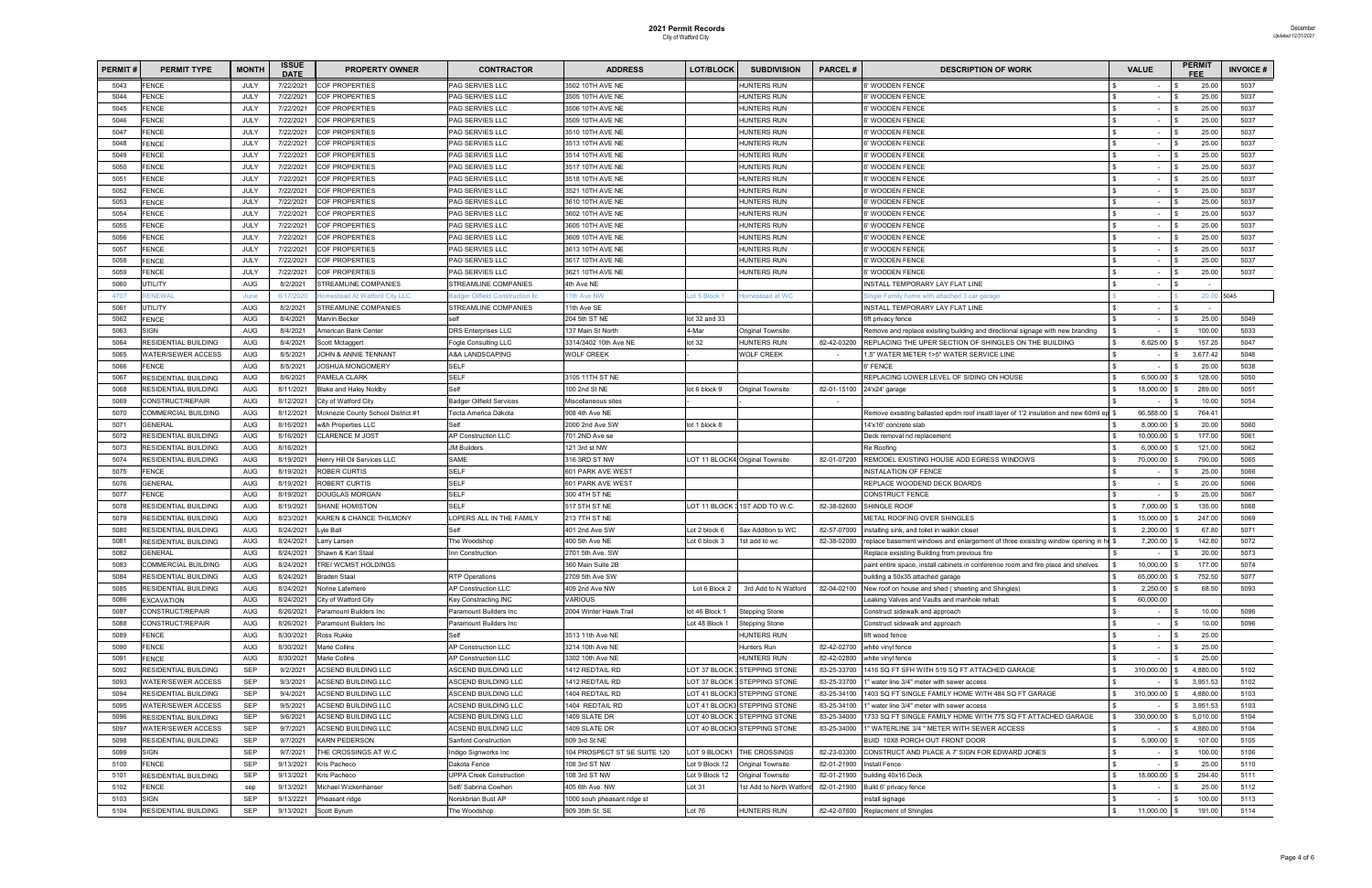| <b>PERMIT#</b> | <b>PERMIT TYPE</b>          | <b>MONTH</b> | <b>ISSUE</b><br><b>DATE</b> | <b>PROPERTY OWNER</b>                 | <b>CONTRACTOR</b>               | <b>ADDRESS</b>               | <b>LOT/BLOCK</b> | <b>SUBDIVISION</b>              | <b>PARCEL#</b> | <b>DESCRIPTION OF WORK</b>                                                           | <b>VALUE</b>             | <b>PERMIT</b> |               | <b>INVOICE#</b> |
|----------------|-----------------------------|--------------|-----------------------------|---------------------------------------|---------------------------------|------------------------------|------------------|---------------------------------|----------------|--------------------------------------------------------------------------------------|--------------------------|---------------|---------------|-----------------|
| 5043           | <b>FENCE</b>                | JULY         | 7/22/2021                   | <b>COF PROPERTIES</b>                 | PAG SERVIES LLC                 | 3502 10TH AVE NE             |                  | <b>HUNTERS RUN</b>              |                | <b>3' WOODEN FENCE</b>                                                               |                          |               | 25.00         | 5037            |
| 5044           | <b>FENCE</b>                | JULY         | 7/22/2021                   | COF PROPERTIES                        | PAG SERVIES LLC                 | 3505 10TH AVE NE             |                  | <b>HUNTERS RUN</b>              |                | <b>S' WOODEN FENCE</b>                                                               |                          |               | 25.00         | 5037            |
| 5045           | FENCE                       | JULY         | 7/22/2021                   | COF PROPERTIES                        | PAG SERVIES LLC                 | 3506 10TH AVE NE             |                  | <b>HUNTERS RUN</b>              |                | <b>3' WOODEN FENCE</b>                                                               | $\overline{\phantom{a}}$ |               | 25.00         | 5037            |
| 5046           | <b>FENCE</b>                | JULY         | 7/22/2021                   | COF PROPERTIES                        | PAG SERVIES LLC                 | 3509 10TH AVE NE             |                  | <b>HUNTERS RUN</b>              |                | <b>S' WOODEN FENCE</b>                                                               | $\overline{\phantom{a}}$ |               | 25.00         | 5037            |
| 5047           | <b>FENCE</b>                | JULY         | 7/22/2021                   | COF PROPERTIES                        | PAG SERVIES LLC                 | 3510 10TH AVE NE             |                  | <b>HUNTERS RUN</b>              |                | )' WOODEN FENCE                                                                      | $\overline{\phantom{a}}$ |               | 25.00         | 5037            |
| 5048           | FENCE                       | JULY         | 7/22/2021                   | COF PROPERTIES                        | PAG SERVIES LLC                 | 3513 10TH AVE NE             |                  | <b>HUNTERS RUN</b>              |                | <b>S' WOODEN FENCE</b>                                                               |                          |               | 25.00         | 5037            |
| 5049           | FENCE                       | JULY         | 7/22/2021                   | <b>COF PROPERTIES</b>                 | PAG SERVIES LLC                 | 3514 10TH AVE NE             |                  | <b>HUNTERS RUN</b>              |                | <b>3' WOODEN FENCE</b>                                                               | $\sim$                   |               | 25.00         | 5037            |
| 5050           | FENCE                       | JULY         | 7/22/2021                   | COF PROPERTIES                        | PAG SERVIES LLC                 | 3517 10TH AVE NE             |                  | <b>HUNTERS RUN</b>              |                | <b>3' WOODEN FENCE</b>                                                               | $\overline{\phantom{a}}$ |               | 25.00         | 5037            |
| 5051           | FENCE                       | JULY         | 7/22/2021                   | COF PROPERTIES                        | PAG SERVIES LLC                 | 3518 10TH AVE NE             |                  | <b>HUNTERS RUN</b>              |                | 6' WOODEN FENCE                                                                      | $\sim$                   |               | 25.00         | 5037            |
| 5052           | <b>FENCE</b>                | JULY         | 7/22/2021                   | COF PROPERTIES                        | PAG SERVIES LLC                 | 3521 10TH AVE NE             |                  | <b>HUNTERS RUN</b>              |                | <b>3' WOODEN FENCE</b>                                                               |                          |               | 25.00         | 5037            |
| 5053           | FENCE                       | JULY         | 7/22/2021                   | COF PROPERTIES                        | PAG SERVIES LLC                 | 3610 10TH AVE NE             |                  | <b>HUNTERS RUN</b>              |                | <b>3' WOODEN FENCE</b>                                                               | $\sim$                   |               | 25.00         | 5037            |
| 5054           | FENCE                       | JULY         | 7/22/2021                   | COF PROPERTIES                        | PAG SERVIES LLC                 | 3602 10TH AVE NE             |                  | <b>HUNTERS RUN</b>              |                | 6' WOODEN FENCE                                                                      | $\overline{\phantom{a}}$ |               | 25.00         | 5037            |
| 5055           | <b>FENCE</b>                | JULY         | 7/22/2021                   | COF PROPERTIES                        | PAG SERVIES LLC                 | 3605 10TH AVE NE             |                  | <b>HUNTERS RUN</b>              |                | )' WOODEN FENCE                                                                      | $\sim$                   |               | 25.00         | 5037            |
| 5056           | <b>FENCE</b>                | JULY         | 7/22/2021                   | COF PROPERTIES                        | PAG SERVIES LLC                 | 3609 10TH AVE NE             |                  | <b>HUNTERS RUN</b>              |                | <b>S' WOODEN FENCE</b>                                                               | $\sim$                   |               | 25.00         | 5037            |
| 5057           | <b>FENCE</b>                | JULY         | 7/22/2021                   | COF PROPERTIES                        | PAG SERVIES LLC                 | 3613 10TH AVE NE             |                  | <b>HUNTERS RUN</b>              |                | <b>S' WOODEN FENCE</b>                                                               | $\sim$                   |               | 25.00         | 5037            |
| 5058           | <b>FENCE</b>                | JULY         | 7/22/2021                   | COF PROPERTIES                        | PAG SERVIES LLC                 | 3617 10TH AVE NE             |                  | <b>HUNTERS RUN</b>              |                | 6' WOODEN FENCE                                                                      |                          |               | 25.00         | 5037            |
| 5059           | <b>FENCE</b>                | JULY         | 7/22/2021                   | COF PROPERTIES                        | PAG SERVIES LLC                 | 3621 10TH AVE NE             |                  | <b>HUNTERS RUN</b>              |                | <b>S' WOODEN FENCE</b>                                                               |                          |               | 25.00         | 5037            |
| 5060           | <b>JTILITY</b>              | <b>AUG</b>   | 8/2/2021                    | STREAMLINE COMPANIES                  | STREAMLINE COMPANIES            | 4th Ave NE                   |                  |                                 |                | <b>NSTALL TEMPORARY LAY FLAT LINE</b>                                                |                          |               |               |                 |
| 470            | <b>ENEWAI</b>               | June         | 6/17/2020                   | omestead At Watford City LLC          | adger Oilfield Construction Ild | 11th Ave NW                  | ot 5 Block 1     | <b>Homestead at WC</b>          |                | ingle Family home with attached 3 car garage                                         |                          |               | 20.00<br>5045 |                 |
| 5061           | UTILITY                     | AUG          | 8/2/2021                    | STREAMLINE COMPANIES                  | STREAMLINE COMPANIES            | 11th Ave SE                  |                  |                                 |                | NSTALL TEMPORARY LAY FLAT LINE                                                       | $\overline{\phantom{a}}$ |               |               |                 |
|                | <b>ENCE</b>                 | AUG          | 8/4/2021                    |                                       |                                 | 204 5th ST NE                | lot 32 and 33    |                                 |                |                                                                                      | $\overline{\phantom{a}}$ |               | 25.00         | 5049            |
| 5062           |                             |              |                             | Marvin Becker<br>American Bank Center |                                 |                              |                  |                                 |                | 3ft privacy fence                                                                    |                          |               |               |                 |
| 5063           | SIGN                        | AUG          | 8/4/2021                    |                                       | <b>DRS Enterprises LLC</b>      | 137 Main St North            | 4-Mar            | <b>Original Townsite</b>        |                | Remove and replace exisiting building and directional signage with new branding      | $\overline{\phantom{a}}$ |               | 100.00        | 5033            |
| 5064           | RESIDENTIAL BUILDING        | AUG          | 8/4/2021                    | Scott Mctaggert                       | <b>Fogle Consulting LLC</b>     | 3314/3402 10th Ave NE        | lot32            | <b>HUNTERS RUN</b>              | 82-42-03200    | REPLACING THE UPER SECTION OF SHINGLES ON THE BUILDING                               | 8,625.00                 |               | 157.25        | 5047            |
| 5065           | <b>NATER/SEWER ACCESS</b>   | <b>AUG</b>   | 8/5/2021                    | <b>JOHN &amp; ANNIE TENNANT</b>       | A&A LANDSCAPING                 | <b>WOLF CREEK</b>            |                  | <b>WOLF CREEK</b>               | $\sim$         | 1.5" WATER METER 1>5" WATER SERVICE LINE                                             | $\blacksquare$           |               | 3,677.42      | 5048            |
| 5066           | FENCE                       | <b>AUG</b>   | 8/5/2021                    | <b>JOSHUA MONGOMERY</b>               | <b>SELF</b>                     |                              |                  |                                 |                | <b>S' FENCE</b>                                                                      |                          |               | 25.00         | 5038            |
| 506            | <b>RESIDENTIAL BUILDING</b> | AUG          | 8/6/2021                    | PAMELA CLARK                          | <b>SELF</b>                     | 3105 11TH ST NE              |                  |                                 |                | REPLACING LOWER LEVEL OF SIDING ON HOUSE                                             | 6,500.00                 |               | 128.00        | 5050            |
| 5068           | <b>RESIDENTIAL BUILDING</b> | <b>AUG</b>   | 8/11/2021                   | Blake and Haley Noldby                | Self                            | 100 2nd St NE                | lot 6 block 9    | <b>Original Townsite</b>        | 82-01-15100    | 24'x24' garage                                                                       | 18,000.00                |               | 289.00        | 5051            |
| 5069           | CONSTRUCT/REPAIR            | <b>AUG</b>   | 8/12/2021                   | City of Watford City                  | <b>Badger Oilfield Services</b> | Miscellaneous sites          |                  |                                 |                |                                                                                      | $\overline{\phantom{a}}$ |               | 10.00         | 5054            |
| 5070           | COMMERCIAL BUILDING         | <b>AUG</b>   | 8/12/2021                   | Mcknezie County School District #1    | Tecta America Dakota            | 908 4th Ave NE               |                  |                                 |                | Remove exsisting ballasted epdm roof insatll layer of 1'2 insulation and new 60mil o | 66,588.00                |               | 764.41        |                 |
| 5071           | <b>GENERAL</b>              | <b>AUG</b>   | 8/16/2021                   | w&h Properties LLC                    | Self                            | 2000 2nd Ave SW              | lot 1 block 8    |                                 |                | 14'x16' concrete slab                                                                | 8,000.00                 |               | 20.00         | 5060            |
| 5072           | RESIDENTIAL BUILDING        | <b>AUG</b>   | 8/16/2021                   | <b>CLARENCE M JOST</b>                | <b>AP Construction LLC</b>      | 701 2ND Ave se               |                  |                                 |                | Deck removal nd replacement                                                          | 10,000.00                |               | 177.00        | 5061            |
| 5073           | RESIDENTIAL BUILDING        | <b>AUG</b>   | 8/16/2021                   |                                       | <b>JM Builders</b>              | 121 3rd st NW                |                  |                                 |                | Re Roofing                                                                           | 6,000.00                 |               | 121.00        | 5062            |
| 5074           | RESIDENTIAL BUILDING        | <b>AUG</b>   | 8/19/2021                   | Henry Hill Oil Services LLC           | SAME                            | 316 3RD ST NW                |                  | LOT 11 BLOCK4 Original Townsite | 82-01-07200    | REMODEL EXISTING HOUSE ADD EGRESS WINDOWS                                            | 70,000.00                |               | 790.00        | 5065            |
| 5075           | <b>FENCE</b>                | <b>AUG</b>   | 8/19/2021                   | ROBER CURTIS                          | <b>SELF</b>                     | 601 PARK AVE WEST            |                  |                                 |                | <b>NSTALATION OF FENCE</b>                                                           | $\overline{\phantom{a}}$ |               | 25.00         | 5066            |
| 5076           | GENERAL                     | <b>AUG</b>   | 8/19/2021                   | ROBERT CURTIS                         | <b>SELF</b>                     | 601 PARK AVE WEST            |                  |                                 |                | REPLACE WOODEND DECK BOARDS                                                          | $\overline{\phantom{a}}$ |               | 20.00         | 5066            |
| 5077           | <b>FENCE</b>                | <b>AUG</b>   | 8/19/2021                   | DOUGLAS MORGAN                        | <b>SELF</b>                     | 300 4TH ST NE                |                  |                                 |                | CONSTRUCT FENCE                                                                      | $\sim$                   |               | 25.00         | 5067            |
| 5078           | RESIDENTIAL BUILDING        | <b>AUG</b>   | 8/19/2021                   | <b>SHANE HOMISTON</b>                 | <b>SELF</b>                     | 517 5TH ST NE                |                  | LOT 11 BLOCK 31ST ADD TO W.C.   | 82-38-02600    | SHINGLE ROOF                                                                         | 7,000.00                 |               | 135.00        | 5068            |
| 5079           | RESIDENTIAL BUILDING        | <b>AUG</b>   | 8/23/2021                   | KAREN & CHANCE THILMONY               | <b>LOPERS ALL IN THE FAMILY</b> | 213 7TH ST NE                |                  |                                 |                | METAL ROOFING OVER SHINGLES                                                          | 15,000.00                |               | 247.00        | 5069            |
| 5080           | RESIDENTIAL BUILDING        | <b>AUG</b>   | 8/24/2021                   | yle Ball                              | Self                            | 401 2nd Ave SW               | Lot 2 block 6    | Sax Addition to WC              | 82-57-07000    | installing sink, and toilet in walkin closet                                         | 2,200.00                 |               | 67.80         | 5071            |
| 508            | RESIDENTIAL BUILDING        | <b>AUG</b>   | 8/24/2021                   | arry Larsen.                          | he Woodshop <sup>-</sup>        | 400 5th Ave NE               | Lot 6 block 3    | 1st add to wc                   | 82-38-02000    | replace basement windows and enlargement of three exisisting window opening in he \$ | 7,200.00                 |               | 142.80        | 5072            |
| 5082           | <b>GENERAL</b>              | <b>AUG</b>   | 8/24/2021                   | Shawn & Kari Staal                    | Inn Construction                | 2701 5th Ave. SW             |                  |                                 |                | Replace exsisting Building from previous fire                                        | $\sim$                   |               | 20.00         | 5073            |
| 5083           | COMMERCIAL BUILDING         | <b>AUG</b>   | 8/24/2021                   | TREI WCMST HOLDINGS                   |                                 | 360 Main Suite 2B            |                  |                                 |                | paint entire space, install cabinets in conference room and fire place and shelves   | $10,000.00$ \$           |               | 177.00        | 5074            |
| 5084           | <b>RESIDENTIAL BUILDING</b> | AUG          | 8/24/2021                   | Braden Staal                          | <b>RTP Operations</b>           | 2709 5th Ave SW              |                  |                                 |                | building a 50x35 attached garage                                                     | 65,000.00                |               | 752.50        | 5077            |
| 5085           | RESIDENTIAL BUILDING        | <b>AUG</b>   | 8/24/2021                   | Norine Laferriere                     | AP Construction LLC             | 409 2nd Ave NW               | Lot 6 Block 2    | 3rd Add to N Watford            | 82-04-02100    | New roof on house and shed (sheeting and Shingles)                                   | 2,250.00                 |               | 68.50         | 5093            |
| 5086           | <b>EXCAVATION</b>           | AUG          | 8/24/2021                   | City of Watford City                  | Key Constracting INC            | <b>VARIOUS</b>               |                  |                                 |                | Leaking Valves and Vaults and manhole rehab                                          | 60,000.00                |               |               |                 |
| 5087           | CONSTRUCT/REPAIR            | <b>AUG</b>   | 8/26/2021                   | Paramount Builders Inc                | Paramount Builders Inc          | 2004 Winter Hawk Trail       | lot 46 Block 1   | <b>Stepping Stone</b>           |                | Construct sidewalk and approach                                                      | $\sim$                   |               | 10.00         | 5096            |
| 5088           | CONSTRUCT/REPAIR            | AUG          | 8/26/2021                   | Paramount Builders Inc                | Paramount Builders Inc          |                              | Lot 48 Block 1   | <b>Stepping Stone</b>           |                | Construct sidewalk and approach                                                      | $\sim$                   |               | 10.00         | 5096            |
| 5089           | FENCE                       | AUG          | 8/30/2021                   | Ross Rukke                            | Self                            | 3513 11th Ave NE             |                  | <b>HUNTERS RUN</b>              |                | 3ft wood fence                                                                       | $\overline{\phantom{a}}$ |               | 25.00         |                 |
| 5090           | FENCE                       | AUG          | 8/30/2021                   | Marie Collins                         | <b>AP Construction LLC</b>      | 3214 10th Ave NE             |                  | Hunters Run                     | 82-42-02700    | white vinyl fence                                                                    | $\sim$                   |               | 25.00         |                 |
| 509            | FENCE                       | AUG          | 8/30/2021                   | Marie Collins                         | AP Construction LLC             | 3302 10th Ave NE             |                  | <b>HUNTERS RUN</b>              | 82-42-02800    | white vinyl fence                                                                    | $\sim$                   |               | 25.00         |                 |
| 5092           | <b>RESIDENTIAL BUILDING</b> | SEP          | 9/2/2021                    | <b>ACSEND BUILDING LLC</b>            | ASCEND BUILDING LLC             | 1412 REDTAIL RD              |                  | LOT 37 BLOCK 3 STEPPING STONE   | 83-25-33700    | 1416 SQ FT SFH WITH 519 SQ FT ATTACHED GARAGE                                        | 310,000.00               |               | 4,880.00      | 5102            |
| 5093           | WATER/SEWER ACCESS          | SEP          | 9/3/2021                    | <b>ACSEND BUILDING LLC</b>            | ASCEND BUILDING LLC             | 1412 REDTAIL RD              |                  | LOT 37 BLOCK 3 STEPPING STONE   | 83-25-33700    | I" water line 3/4" meter with sewer access                                           |                          |               | 3,951.53      | 5102            |
| 5094           | RESIDENTIAL BUILDING        | SEP          | 9/4/2021                    | <b>ACSEND BUILDING LLC</b>            | ASCEND BUILDING LLC             | 1404 REDTAIL RD              |                  | LOT 41 BLOCK3 STEPPING STONE    | 83-25-34100    | 1403 SQ FT SINGLE FAMILY HOME WITH 484 SQ FT GARAGE                                  | 310,000.00               |               | 4,880.00      | 5103            |
| 5095           | WATER/SEWER ACCESS          | <b>SEP</b>   | 9/5/2021                    | <b>ACSEND BUILDING LLC</b>            | ACSEND BUILDING LLC             | 1404 REDTAIL RD              |                  | LOT 41 BLOCK3 STEPPING STONE    | 83-25-34100    | I" water line 3/4" meter with sewer access                                           |                          |               | 3,951.53      | 5103            |
| 5096           | RESIDENTIAL BUILDING        | <b>SEP</b>   | 9/6/2021                    | <b>ACSEND BUILDING LLC</b>            | ACSEND BUILDING LLC             | 1409 SLATE DR                |                  | LOT 40 BLOCK 3 STEPPING STONE   | 83-25-34000    | 1733 SQ FT SINGLE FAMILY HOME WITH 775 SQ FT ATTACHED GARAGE                         | 330,000.00               |               | 5,010.00      | 5104            |
| 5097           | <b>WATER/SEWER ACCESS</b>   | SEP          | 9/7/2021                    | <b>ACSEND BUILDING LLC</b>            | ACSEND BUILDING LLC             | 1409 SLATE DR                |                  | LOT 40 BLOCK3 STEPPING STONE    | 83-25-34000    |                                                                                      |                          |               | 4,880.00      | 5104            |
|                |                             |              |                             |                                       |                                 |                              |                  |                                 |                | 1" WATERLINE 3/4 " METER WITH SEWER ACCESS                                           |                          |               |               |                 |
| 5098           | RESIDENTIAL BUILDING        | SEP          | 9/7/2021                    | KARN PEDERSON                         | Sanford Construction            | 509 3rd St NE                |                  |                                 |                | BUID 10X8 PORCH OUT FRONT DOOR                                                       | 5,000.00                 |               | 107.00        | 5105            |
| 5099           | <b>SIGN</b>                 | <b>SEP</b>   | 9/7/2021                    | THE CROSSINGS AT W.C                  | Indigo Signworks Inc            | 104 PROSPECT ST SE SUITE 120 |                  | LOT 9 BLOCK1 THE CROSSINGS      | 82-23-03300    | CONSTRUCT AND PLACE A 7' SIGN FOR EDWARD JONES                                       | $\overline{\phantom{a}}$ |               | 100.00        | 5106            |
| 5100           | <b>FENCE</b>                | <b>SEP</b>   | 9/13/2021                   | Kris Pacheco                          | Dakota Fence                    | 108 3rd ST NW                | Lot 9 Block 12   | Original Townsite               | 82-01-21900    | Install Fence                                                                        | $\overline{\phantom{a}}$ |               | 25.00         | 5110            |
| 5101           | <b>RESIDENTIAL BUILDING</b> | <b>SEP</b>   | 9/13/2021                   | Kris Pacheco                          | <b>UPPA Creek Construction</b>  | 108 3rd ST NW                | Lot 9 Block 12   | Original Townsite               | 82-01-21900    | building 40x16 Deck                                                                  | 18,600.00                |               | 294.40        | 5111            |
| 5102           | FENCE                       | sep          | 9/13/2021                   | Michael Wickenhanser                  | Self/ Sabrina Cowhen            | 405 6th Ave. NW              | Lot 31           | 1st Add to North Watfor         | 82-01-21900    | Build 6' privacy fence                                                               | $\sim$                   |               | 25.00         | 5112            |
| 5103           | SIGN                        | <b>SEP</b>   | 9/13/2221                   | Pheasant ridge                        | Norskbrian Bust AP              | 1000 souh pheasant ridge st  |                  |                                 |                | nstall signage                                                                       | $\overline{\phantom{a}}$ |               | 100.00        | 5113            |
| 5104           | RESIDENTIAL BUILDING        | <b>SEP</b>   | 9/13/2021                   | Scott Byrum                           | The Woodshop                    | 909 35th St. SE              | Lot 76           | <b>HUNTERS RUN</b>              |                | 82-42-07600 Replacment of Shingles                                                   | 11,000.00 \$             |               | 191.00        | 5114            |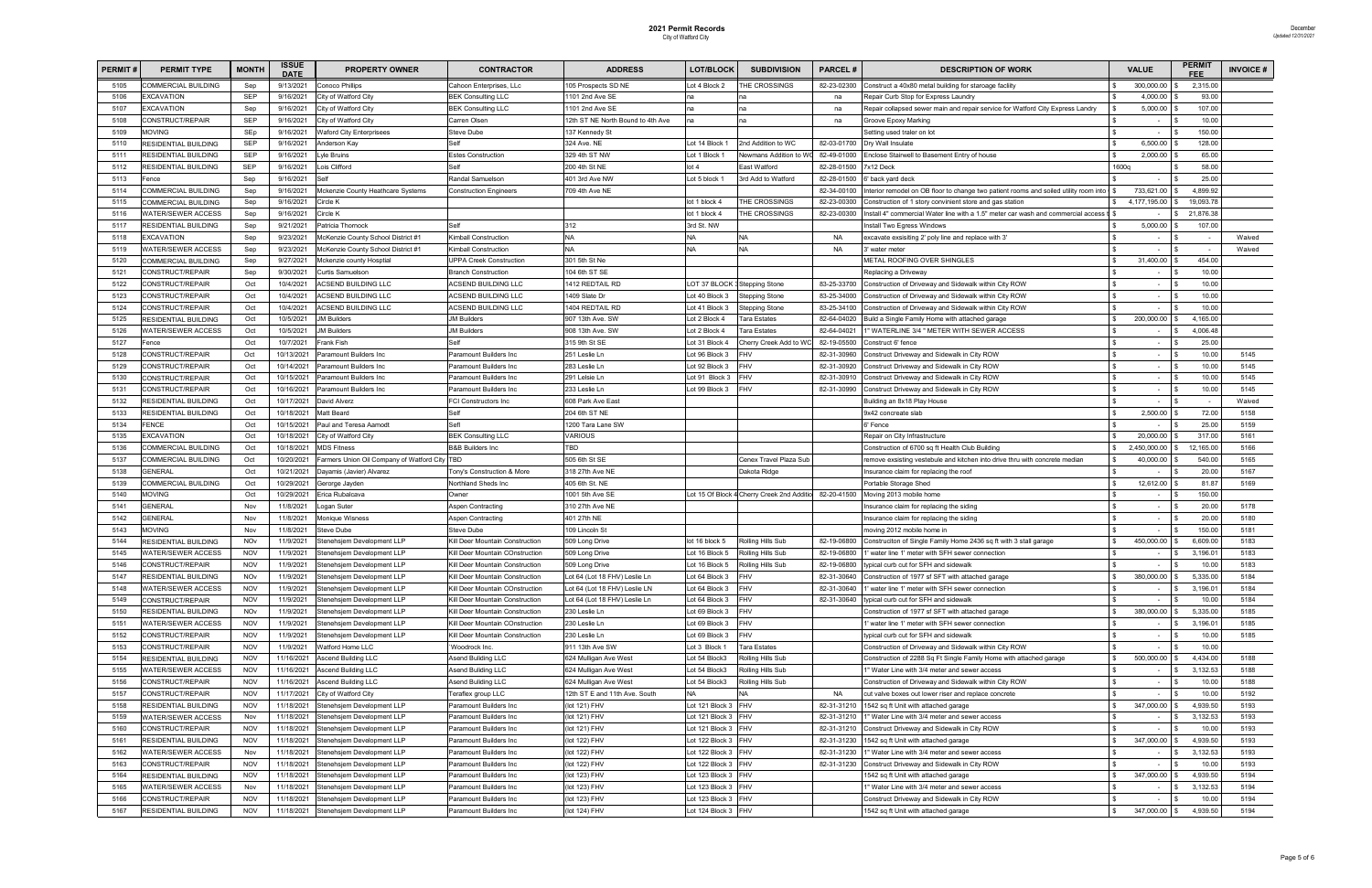| <b>PERMIT#</b> | <b>PERMIT TYPE</b>          | <b>MONTH</b> | ISSUE<br><b>DATE</b> | <b>PROPERTY OWNER</b>                     | <b>CONTRACTOR</b>               | <b>ADDRESS</b>                    | LOT/BLOCK           | <b>SUBDIVISION</b>                                     | <b>PARCEL#</b> | <b>DESCRIPTION OF WORK</b>                                                            | <b>VALUE</b>             | <b>PERMI</b><br>FFF | <b>INVOICE#</b> |
|----------------|-----------------------------|--------------|----------------------|-------------------------------------------|---------------------------------|-----------------------------------|---------------------|--------------------------------------------------------|----------------|---------------------------------------------------------------------------------------|--------------------------|---------------------|-----------------|
| 5105           | <b>COMMERCIAL BUILDING</b>  | Sep          | 9/13/2021            | Conoco Phillips                           | Cahoon Enterprises, LLc         | 105 Prospects SD NE               | Lot 4 Block 2       | THE CROSSINGS                                          | 82-23-02300    | Construct a 40x80 metal building for staroage facliity                                | 300,000.00               | 2,315.00            |                 |
| 5106           | EXCAVATION                  | <b>SEP</b>   | 9/16/2021            | City of Watford City                      | <b>BEK Consulting LLC</b>       | 101 2nd Ave SE                    |                     |                                                        | na             | Repair Curb Stop for Express Laundry                                                  | 4,000.00                 | 93.00               |                 |
| 5107           | <b>EXCAVATION</b>           | Sep          | 9/16/2021            | City of Watford City                      | <b>BEK Consulting LLC</b>       | 1101 2nd Ave SE                   |                     |                                                        | na             | Repair collapsed sewer main and repair service for Watford City Express Landry        | 5,000.00                 | 107.00              |                 |
| 5108           | CONSTRUCT/REPAIR            | <b>SEP</b>   | 9/16/2021            | City of Watford City                      | Carren Olsen                    | 12th ST NE North Bound to 4th Ave | na                  | na                                                     | na             | Groove Epoxy Marking                                                                  | $\sim$                   | 10.00               |                 |
| 5109           | <b>MOVING</b>               | SEp          | 9/16/2021            | <b>Waford City Enterprisees</b>           | Steve Dube                      | 137 Kennedy St                    |                     |                                                        |                | Setting used traler on lot                                                            | $\sim$                   | 150.00              |                 |
| 5110           | RESIDENTIAL BUILDING        | <b>SEP</b>   | 9/16/2021            | Anderson Kay                              | Self                            | 324 Ave. NE                       | Lot 14 Block        | 2nd Addition to WC                                     | 82-03-01700    | Dry Wall Insulate                                                                     | 6,500.00                 | 128.00              |                 |
| 5111           | RESIDENTIAL BUILDING        | SEP          | 9/16/2021            | yle Bruins                                | <b>Estes Construction</b>       | 329 4th ST NW                     | Lot 1 Block 1       | Newmans Addition to V                                  | 82-49-01000    | Enclose Stairwell to Basement Entry of house                                          | 2,000.00                 | 65.00               |                 |
| 5112           | <b>RESIDENTIAL BUILDING</b> | <b>SEP</b>   | 9/16/2021            | ois Clifford                              | Self                            | 200 4th St NE                     | ot 4                | East Watford                                           | 82-28-01500    | 7x12 Deck                                                                             | 1600q                    | 58.00               |                 |
| 5113           | Fence                       | Sep          | 9/16/2021            |                                           | Randal Samuelson                | 401 3rd Ave NW                    | Lot 5 block 1       | 3rd Add to Watford                                     | 82-28-01500    | 6' back yard deck                                                                     |                          | 25.00               |                 |
| 5114           | COMMERCIAL BUILDING         | Sep          | 9/16/2021            | Mckenzie County Heathcare Systems         | <b>Construction Engineers</b>   | 709 4th Ave NE                    |                     |                                                        | 82-34-00100    | Interior remodel on OB floor to change two patient rooms and soiled utility room into | 733,621.00               | 4,899.92            |                 |
| 5115           | <b>COMMERCIAL BUILDING</b>  | Sep          | 9/16/2021            | Circle K                                  |                                 |                                   | lot 1 block 4       | THE CROSSINGS                                          | 82-23-00300    | Construction of 1 story convinient store and gas station                              | 4,177,195.00             | 19,093.78           |                 |
| 5116           | <b>NATER/SEWER ACCESS</b>   | Sep          | 9/16/2021            | Circle K                                  |                                 |                                   | lot 1 block 4       | THE CROSSINGS                                          | 82-23-00300    | Install 4" commercial Water line with a 1.5" meter car wash and commercial access t   |                          | 21,876.38           |                 |
| 5117           | RESIDENTIAL BUILDING        | Sep          | 9/21/2021            | Patricia Thornock                         | Self                            | 312                               | 3rd St. NW          |                                                        |                | Install Two Egress Windows                                                            | 5,000.00                 | 107.00              |                 |
| 5118           | <b>EXCAVATION</b>           | Sep          | 9/23/2021            | McKenzie County School District #1        | <b>Kimball Construction</b>     | NA                                |                     | <b>NA</b>                                              | <b>NA</b>      | excavate exsisiting 2' poly line and replace with 3'                                  |                          |                     | Waived          |
| 5119           | <b>WATER/SEWER ACCESS</b>   | Sep          | 9/23/2021            | McKenzie County School District #1        | Kimball Construction            | NA.                               | NA                  | <b>NA</b>                                              | <b>NA</b>      | 3' water meter                                                                        |                          |                     | Waived          |
| 5120           | COMMERCIAL BUILDING         | Sep          | 9/27/2021            | Mckenzie county Hosptial                  | <b>UPPA Creek Construction</b>  | 301 5th St Ne                     |                     |                                                        |                | METAL ROOFING OVER SHINGLES                                                           | 31,400.00                | 454.00              |                 |
| 5121           | CONSTRUCT/REPAIR            | Sep          | 9/30/2021            | Curtis Samuelson                          | <b>Branch Construction</b>      | 104 6th ST SE                     |                     |                                                        |                | Replacing a Driveway                                                                  |                          | 10.00               |                 |
| 5122           | CONSTRUCT/REPAIR            | Oct          | 10/4/2021            | <b>ACSEND BUILDING LLC</b>                | ACSEND BUILDING LLC             | 1412 REDTAIL RD                   |                     | LOT 37 BLOCK 3 Stepping Stone                          | 83-25-33700    | Construction of Driveway and Sidewalk within City ROW                                 |                          | 10.00               |                 |
| 5123           | CONSTRUCT/REPAIR            | Oct          | 10/4/2021            | ACSEND BUILDING LLC                       | <b>ACSEND BUILDING LLC</b>      | 1409 Slate Dr                     | Lot 40 Block 3      | <b>Stepping Stone</b>                                  | 83-25-34000    | Construction of Driveway and Sidewalk within City ROW                                 | $\sim$                   | 10.00               |                 |
| 5124           | CONSTRUCT/REPAIR            | Oct          | 10/4/2021            | <b>ACSEND BUILDING LLC</b>                | <b>ACSEND BUILDING LLC</b>      | 1404 REDTAIL RD                   | Lot 41 Block 3      | Stepping Stone                                         | 83-25-34100    | Construction of Driveway and Sidewalk within City ROW                                 |                          | 10.00               |                 |
| 5125           | <b>RESIDENTIAL BUILDING</b> | Oct          | 10/5/2021            | <b>JM Builders</b>                        | <b>JM Builders</b>              | 907 13th Ave, SW                  | Lot 2 Block 4       | Tara Estates                                           | 82-64-04020    | Build a Single Family Home with attached garage                                       | 200,000.00               | 4,165.00            |                 |
| 5126           | <b>WATER/SEWER ACCESS</b>   | Oct          | 10/5/2021            | <b>JM Builders</b>                        | <b>JM Builders</b>              | 908 13th Ave. SW                  | Lot 2 Block 4       | Tara Estates                                           | 82-64-04021    | 1" WATERLINE 3/4 " METER WITH SEWER ACCESS                                            | $\overline{\phantom{a}}$ | 4,006.48            |                 |
| 5127           | Fence                       | Oct          | 10/7/2021            | Frank Fish                                | Self                            | 315 9th St SE                     | Lot 31 Block 4      | Cherry Creek Add to WO                                 | 82-19-05500    | Construct 6' fence                                                                    | $\sim$                   | 25.00               |                 |
| 5128           | CONSTRUCT/REPAIR            | Oct          | 10/13/2021           | Paramount Builders Inc                    | Paramount Builders Inc          | 251 Leslie Ln                     | ot 96 Block 3       | <b>FHV</b>                                             | 82-31-30960    | Construct Driveway and Sidewalk in City ROW                                           | $\overline{\phantom{a}}$ | 10.00               | 5145            |
| 5129           | CONSTRUCT/REPAIR            | Oct          | 10/14/2021           | Paramount Builders Inc                    | Paramount Builders Inc          | 283 Leslie Ln                     | Lot 92 Block 3      | <b>FHV</b>                                             | 82-31-30920    | Construct Driveway and Sidewalk in City ROW                                           | $\sim$                   | 10.00               | 5145            |
| 5130           | CONSTRUCT/REPAIR            | Oct          | 10/15/2021           | Paramount Builders Inc                    | Paramount Builders Inc          | 291 Lelsie Ln                     | Lot 91 Block 3      | FHV                                                    | 82-31-30910    | Construct Driveway and Sidewalk in City ROW                                           |                          | 10.00               | 5145            |
| 5131           | CONSTRUCT/REPAIR            | Oct          | 10/16/2021           | Paramount Builders Inc                    | Paramount Builders Inc          | 233 Leslie Ln                     | Lot 99 Block 3      | <b>FHV</b>                                             | 82-31-30990    | Construct Driveway and Sidewalk in City ROW                                           | $\sim$                   | 10.00               | 5145            |
| 5132           | <b>RESIDENTIAL BUILDING</b> | Oct          | 10/17/2021           | David Alverz                              | <b>FCI Constructors Inc</b>     | 608 Park Ave East                 |                     |                                                        |                | Building an 8x18 Play House                                                           | $\overline{\phantom{a}}$ |                     | Waived          |
| 5133           | RESIDENTIAL BUILDING        | Oct          | 10/18/2021           | Matt Beard                                | Self                            | 204 6th ST NE                     |                     |                                                        |                | 9x42 concreate slab                                                                   | 2,500.00                 | 72.00               | 5158            |
| 5134           | FENCE                       | Oct          | 10/15/2021           | Paul and Teresa Aamodt                    | Sefl                            | 1200 Tara Lane SW                 |                     |                                                        |                | 6' Fence                                                                              |                          | 25.00               | 5159            |
| 5135           | EXCAVATION                  | Oct          | 10/18/2021           | City of Watford City                      | <b>BEK Consulting LLC</b>       | <b>VARIOUS</b>                    |                     |                                                        |                | Repair on City Infrastructure                                                         | 20,000.00                | 317.00              | 5161            |
| 5136           | <b>COMMERCIAL BUILDING</b>  | Oct          | 10/18/2021           | <b>MDS Fitness</b>                        | <b>B&amp;B Builders Inc</b>     | TBD                               |                     |                                                        |                | Construction of 6700 sq ft Health Club Building                                       | 2,450,000.00             | 12,165.00           | 5166            |
| 5137           | <b>COMMERCIAL BUILDING</b>  | Oct          | 10/20/2021           | Farmers Union Oil Company of Watford City | <b>TBD</b>                      | 505 6th St SE                     |                     | Cenex Travel Plaza Sub                                 |                | remove exsisting vestebule and kitchen into drive thru with concrete median           | 40,000.00                | 540.00              | 5165            |
| 5138           | <b>GENERAL</b>              | Oct          | 10/21/2021           | Dayamis (Javier) Alvarez                  | Tony's Construction & More      | 318 27th Ave NE                   |                     | Dakota Ridge                                           |                | Insurance claim for replacing the roof                                                |                          | 20.00               | 5167            |
| 5139           | COMMERCIAL BUILDING         | Oct          | 10/29/2021           | Gerorge Jayden                            | Northland Sheds Inc             | 405 6th St. NE                    |                     |                                                        |                | Portable Storage Shed                                                                 | 12,612.00                | 81.87               | 5169            |
| 5140           | MOVING                      | Oct          | 10/29/2021           | Erica Rubalcava                           | Owner                           | 1001 5th Ave SE                   |                     | Lot 15 Of Block 4 Cherry Creek 2nd Additio 82-20-41500 |                | Moving 2013 mobile home                                                               | $\sim$                   | 150.00              |                 |
| 5141           | GENERAL                     | Nov          | 11/8/2021            | Logan Suter                               | Aspen Contracting               | 310 27th Ave NE                   |                     |                                                        |                | Insurance claim for replacing the siding                                              | $\sim$                   | 20.00               | 5178            |
| 5142           | GENERAL                     | Nov          | 11/8/2021            | <b>Monique Wisness</b>                    | Aspen Contracting               | 401 27th NE                       |                     |                                                        |                | Insurance claim for replacing the siding                                              | $\sim$                   | 20.00               | 5180            |
| 5143           | MOVING                      | Nov          | 11/8/2021            | Steve Dube                                | Steve Dube                      | 109 Lincoln St                    |                     |                                                        |                | moving 2012 mobile home in                                                            | $\sim$                   | 150.00              | 5181            |
| 5144           | <b>RESIDENTIAL BUILDING</b> | <b>NOv</b>   | 11/9/2021            | Stenehsjem Development LLP                | Kill Deer Mountain Construction | 509 Long Drive                    | lot 16 block 5      | Rolling Hills Sub                                      | 82-19-06800    | Construciton of Single Family Home 2436 sq ft with 3 stall garage                     | 450,000.00               | 6,609.00            | 5183            |
| 5145           | <b>WATER/SEWER ACCESS</b>   | <b>NOV</b>   | 11/9/2021            | Stenehsjem Development LLP                | Kill Deer Mountain COnstruction | 509 Long Drive                    |                     | Lot 16 Block 5 Rolling Hills Sub                       | 82-19-06800    | 1' water line 1' meter with SFH sewer connection                                      | $\overline{\phantom{a}}$ | 3,196.0'            | 5183            |
| 5146           | CONSTRUCT/REPAIR            | NOV          | 11/9/2021            | Stenehsjem Development LLP                | Kill Deer Mountain Construction | 509 Long Drive                    |                     | Lot 16 Block 5 Rolling Hills Sub                       |                | 82-19-06800 typical curb cut for SFH and sidewalk                                     | $\sim$                   | 10.00               | 5183            |
| 5147           | <b>RESIDENTIAL BUILDING</b> | NOv          | 11/9/2021            | Stenehsjem Development LLP                | Kill Deer Mountain Construction | ot 64 (Lot 18 FHV) Leslie Ln      | Lot 64 Block 3 FHV  |                                                        | 82-31-30640    | Construction of 1977 sf SFT with attached garage                                      | 380,000.00               | 5,335.00            | 5184            |
| 5148           | WATER/SEWER ACCESS          | <b>NOV</b>   | 11/9/2021            | Stenehsjem Development LLP                | Kill Deer Mountain COnstruction | Lot 64 (Lot 18 FHV) Leslie LN     | Lot 64 Block 3 FHV  |                                                        | 82-31-30640    | 1' water line 1' meter with SFH sewer connection                                      | $\sim$                   | 3,196.01            | 5184            |
| 5149           | CONSTRUCT/REPAIR            | <b>NOV</b>   | 11/9/2021            | Stenehsjem Development LLP                | Kill Deer Mountain Construction | Lot 64 (Lot 18 FHV) Leslie Ln     | Lot 64 Block 3 FHV  |                                                        | 82-31-30640    | typical curb cut for SFH and sidewalk                                                 |                          | 10.00               | 5184            |
| 5150           | <b>RESIDENTIAL BUILDING</b> | NOv          | 11/9/2021            | Stenehsjem Development LLP                | Kill Deer Mountain Construction | 230 Leslie Ln                     | Lot 69 Block 3 FHV  |                                                        |                | Construction of 1977 sf SFT with attached garage                                      | 380,000.00               | 5,335.00            | 5185            |
| 5151           | <b>WATER/SEWER ACCESS</b>   | <b>NOV</b>   | 11/9/2021            | Stenehsjem Development LLP                | Kill Deer Mountain COnstruction | 230 Leslie Ln                     | Lot 69 Block 3      | FHV                                                    |                | 1' water line 1' meter with SFH sewer connection                                      | $\sim$                   | 3,196.0'            | 5185            |
| 5152           | CONSTRUCT/REPAIR            | <b>NOV</b>   | 11/9/2021            | Stenehsjem Development LLP                | Kill Deer Mountain Construction | 230 Leslie Ln                     | Lot 69 Block 3      | <b>FHV</b>                                             |                | typical curb cut for SFH and sidewalk                                                 | $\sim$                   | 10.00               | 5185            |
| 5153           | CONSTRUCT/REPAIR            | <b>NOV</b>   | 11/9/2021            | Watford Home LLC                          | Woodrock Inc.                   | 911 13th Ave SW                   | Lot 3 Block 1       | <b>Tara Estates</b>                                    |                | Construction of Driveway and Sidewalk within City ROW                                 | $\overline{\phantom{a}}$ | 10.00               |                 |
| 5154           | <b>RESIDENTIAL BUILDING</b> | <b>NOV</b>   | 11/16/2021           | Ascend Building LLC                       | Asend Buliding LLC              | 624 Mulligan Ave West             | Lot 54 Block3       | Rolling Hills Sub                                      |                | Construction of 2288 Sq Ft Single Family Home with attached garage                    | 500,000.00               | 4,434.00            | 5188            |
| 5155           | <b>WATER/SEWER ACCESS</b>   | <b>NOV</b>   | 11/16/2021           | <b>Ascend Building LLC</b>                | Asend Buliding LLC              | 624 Mulligan Ave West             | Lot 54 Block3       | Rolling Hills Sub                                      |                | 1" Water Line with 3/4 meter and sewer access                                         | $\sim$                   | 3,132.53            | 5188            |
| 5156           | CONSTRUCT/REPAIR            | <b>NOV</b>   | 11/16/2021           | <b>Ascend Building LLC</b>                | Asend Buliding LLC              | 624 Mulligan Ave West             | Lot 54 Block3       | Rolling Hills Sub                                      |                | Construction of Driveway and Sidewalk within City ROW                                 | $\sim$                   | 10.00               | 5188            |
| 5157           | CONSTRUCT/REPAIR            | <b>NOV</b>   | 11/17/2021           | City of Watford City                      | Teraflex group LLC              | 12th ST E and 11th Ave. South     |                     | <b>NA</b>                                              | <b>NA</b>      | cut valve boxes out lower riser and replace concrete                                  |                          | 10.00               | 5192            |
| 5158           | <b>RESIDENTIAL BUILDING</b> | <b>NOV</b>   | 11/18/2021           | Stenehsjem Development LLP                | Paramount Builders Inc          | (lot 121) FHV                     | Lot 121 Block 3 FHV |                                                        | 82-31-31210    | 1542 sq ft Unit with attached garage                                                  | 347,000.00               | 4,939.50            | 5193            |
| 5159           | <b>WATER/SEWER ACCESS</b>   | Nov          | 11/18/2021           | Stenehsjem Development LLP                | Paramount Builders Inc          | (lot 121) FHV                     | Lot 121 Block 3 FHV |                                                        | 82-31-31210    | 1" Water Line with 3/4 meter and sewer access                                         | $\sim$                   | 3,132.53            | 5193            |
| 5160           | CONSTRUCT/REPAIR            | <b>NOV</b>   | 11/18/2021           | Stenehsjem Development LLP                | Paramount Builders Inc          | (lot 121) FHV                     | Lot 121 Block 3 FHV |                                                        | 82-31-31210    | Construct Driveway and Sidewalk in City ROW                                           | $\sim$                   | 10.00               | 5193            |
| 5161           | <b>RESIDENTIAL BUILDING</b> | <b>NOV</b>   | 11/18/2021           | Stenehsjem Development LLP                | Paramount Builders Inc          | (lot 122) FHV                     | Lot 122 Block 3 FHV |                                                        | 82-31-31230    | 1542 sq ft Unit with attached garage                                                  | 347,000.00               | 4,939.50            | 5193            |
| 5162           | WATER/SEWER ACCESS          | Nov          | 11/18/2021           | Stenehsjem Development LLP                | Paramount Builders Inc          | (lot 122) FHV                     | Lot 122 Block 3 FHV |                                                        | 82-31-31230    | 1" Water Line with 3/4 meter and sewer access                                         | $\sim$                   | 3,132.53            | 5193            |
| 5163           | CONSTRUCT/REPAIR            | <b>NOV</b>   | 11/18/2021           | Stenehsjem Development LLP                | Paramount Builders Inc          | (lot 122) FHV                     | Lot 122 Block 3 FHV |                                                        | 82-31-31230    | Construct Driveway and Sidewalk in City ROW                                           |                          | 10.00               | 5193            |
| 5164           | <b>RESIDENTIAL BUILDING</b> | <b>NOV</b>   | 11/18/2021           | Stenehsjem Development LLP                | Paramount Builders Inc          | (lot 123) FHV                     | Lot 123 Block 3 FHV |                                                        |                | 1542 sq ft Unit with attached garage                                                  | 347,000.00               | 4,939.50            | 5194            |
| 5165           | <b>WATER/SEWER ACCESS</b>   | Nov          | 11/18/2021           | Stenehsjem Development LLP                | Paramount Builders Inc          | (lot 123) FHV                     | Lot 123 Block 3 FHV |                                                        |                | 1" Water Line with 3/4 meter and sewer access                                         |                          | 3,132.53            | 5194            |
| 5166           | CONSTRUCT/REPAIR            | <b>NOV</b>   | 11/18/2021           | Stenehsjem Development LLP                | Paramount Builders Inc          | (lot 123) FHV                     | Lot 123 Block 3 FHV |                                                        |                | Construct Driveway and Sidewalk in City ROW                                           | $\sim$                   | 10.00               | 5194            |
| 5167           | <b>RESIDENTIAL BUILDING</b> | <b>NOV</b>   | 11/18/2021           | Stenehsjem Development LLP                | Paramount Builders Inc          | (lot 124) FHV                     | Lot 124 Block 3 FHV |                                                        |                | 1542 sq ft Unit with attached garage                                                  | 347,000.00 \$            | 4,939.50            | 5194            |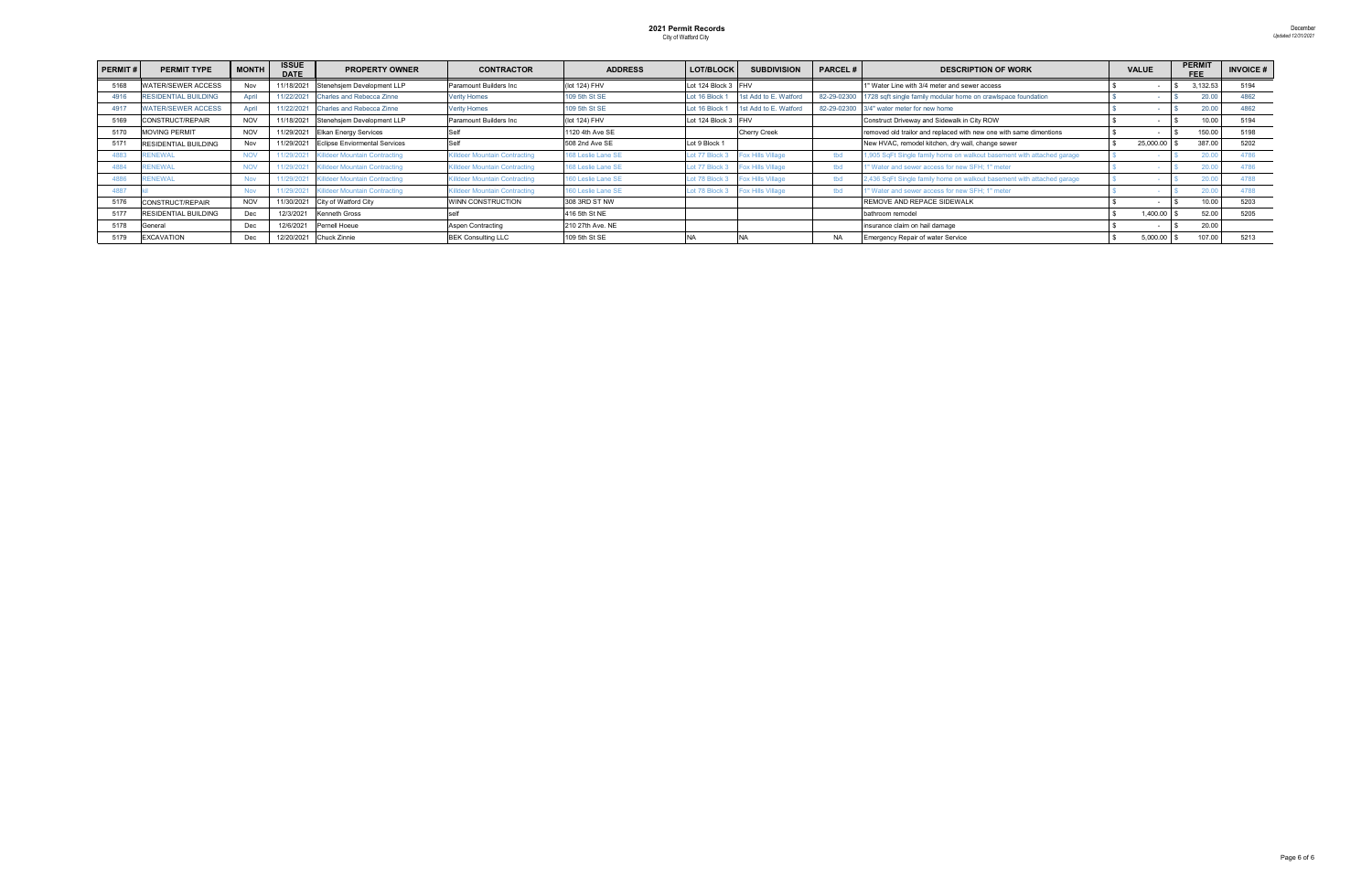| <b>PERMIT#</b> | <b>PERMIT TYPE</b>          | <b>MONTH</b> | <b>ISSUE</b><br><b>DATE</b> | <b>PROPERTY OWNER</b>                    | <b>CONTRACTOR</b>                    | <b>ADDRESS</b>     | LOT/BLOCK           | <b>SUBDIVISION</b>       | <b>PARCEL#</b> | <b>DESCRIPTION OF WORK</b>                                                |  | <b>VALUE</b> | <b>PERMIT</b><br><b>FFF</b> |          | <b>INVOICE#</b> |
|----------------|-----------------------------|--------------|-----------------------------|------------------------------------------|--------------------------------------|--------------------|---------------------|--------------------------|----------------|---------------------------------------------------------------------------|--|--------------|-----------------------------|----------|-----------------|
| 5168           | <b>ATER/SEWER ACCESS</b>    | Nov          | 11/18/2021                  | Stenehsjem Development LLP               | Paramount Builders Inc.              | (lot 124) FHV      | Lot 124 Block 3 FHV |                          |                | 1" Water Line with 3/4 meter and sewer access                             |  |              |                             | 3,132.53 | 5194            |
| 4916           | <b>RESIDENTIAL BUILDING</b> | April        | 11/22/2021                  | Charles and Rebecca Zinne                | <b>Verity Homes</b>                  | 109 5th St SE      | Lot 16 Block        | 1st Add to E. Watford    |                | 82-29-02300 1728 sqft single family modular home on crawlspace foundation |  |              |                             | 20.00    | 4862            |
| 4917           | <b>WATER/SEWER ACCESS</b>   | April        | 11/22/2021                  | <b>Charles and Rebecca Zinne</b>         | erity Homes                          | 109 5th St SE      | Lot 16 Block        | 1st Add to E. Watford    |                | 82-29-02300 3/4" water meter for new home                                 |  |              |                             | 20.00    | 4862            |
| 5169           | CONSTRUCT/REPAIR            | <b>NOV</b>   | 11/18/2021                  | Stenehsjem Development LLP               | Paramount Builders Inc.              | (lot 124) FHV      | Lot 124 Block 3 FHV |                          |                | Construct Driveway and Sidewalk in City ROW                               |  |              |                             | 10.00    | 5194            |
| 5170           | <b>MOVING PERMIT</b>        | <b>NOV</b>   | 11/29/2021                  | <b>Elkan Energy Services</b>             |                                      | 1120 4th Ave SE    |                     | <b>Cherry Creek</b>      |                | removed old trailor and replaced with new one with same dimentions        |  |              |                             | 150.00   | 5198            |
| 5171           | RESIDENTIAL BUILDING        | Nov          |                             | 11/29/2021 Eclipse Enviormental Services |                                      | 508 2nd Ave SE     | Lot 9 Block 1       |                          |                | New HVAC, remodel kitchen, dry wall, change sewer                         |  | 25,000.00    |                             | 387.00   | 5202            |
| 4883           | <b>RENEWAL</b>              |              | 11/29/2021                  | <b>Killdeer Mountain Contracting</b>     | <b>Killdeer Mountain Contracting</b> | 168 Leslie Lane SE | ot 77 Block:        | Fox Hills Village        | tbd            | 1,905 SqFt Single family home on walkout basement with attached garage    |  |              |                             | 20.0     | 4786            |
| 488            | RENEWAL                     |              | 11/29/2021                  | Killdeer Mountain Contracting            | Gilldeer Mountain Contracting        | 168 Leslie Lane SE | ot 77 Block:        | <b>Fox Hills Village</b> | tbd            | 1" Water and sewer access for new SFH: 1" meter                           |  |              |                             | 20.0     | 4786            |
| 4886           | <b>RENEWAL</b>              | <b>Nov</b>   |                             | 11/29/2021 Killdeer Mountain Contracting | Gilldeer Mountain Contracting        | 160 Leslie Lane SE | ot 78 Block:        | <b>Fox Hills Village</b> | tbd            | 2,436 SqFt Single family home on walkout basement with attached garage    |  |              |                             | 20.0     | 4788            |
| 4887           |                             | <b>Nov</b>   | 11/29/2021                  | <b>Killdeer Mountain Contracting</b>     | <b>Killdeer Mountain Contracting</b> | 60 Leslie Lane SE  | ot 78 Block:        | <b>Fox Hills Village</b> | tbd            | 1" Water and sewer access for new SFH; 1" meter                           |  |              |                             | 20.0     | 1788            |
| 5176           | CONSTRUCT/REPAIR            | <b>NOV</b>   |                             | 11/30/2021 City of Watford City          | WINN CONSTRUCTION                    | 308 3RD ST NW      |                     |                          |                | REMOVE AND REPACE SIDEWALK                                                |  |              |                             | 10.00    | 5203            |
| 5177           | <b>RESIDENTIAL BUILDING</b> | Dec          | 12/3/2021                   | <b>Kenneth Gross</b>                     |                                      | 416 5th St NE      |                     |                          |                | bathroom remodel                                                          |  | 1,400.00     |                             | 52.00    | 5205            |
| 5178           | General                     | Dec.         | 12/6/2021                   | Pernell Hoeue                            | Aspen Contracting                    | 210 27th Ave. NE   |                     |                          |                | insurance claim on hail damage                                            |  |              |                             | 20.00    |                 |
| 5179           | <b>EXCAVATION</b>           | Dec          |                             | 12/20/2021 Chuck Zinnie                  | <b>BEK Consulting LLC</b>            | 109 5th St SE      |                     |                          | <b>NA</b>      | <b>Emergency Repair of water Service</b>                                  |  | 5,000.00     |                             | 107.00   | 5213            |